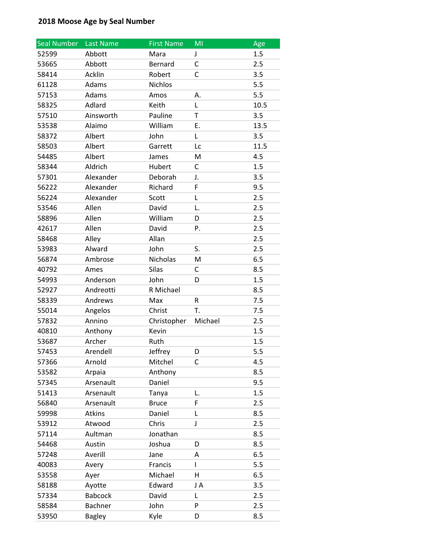| <b>Seal Number</b> | Last Name      | <b>First Name</b> | MI                      | Age  |
|--------------------|----------------|-------------------|-------------------------|------|
| 52599              | Abbott         | Mara              | J                       | 1.5  |
| 53665              | Abbott         | Bernard           | C                       | 2.5  |
| 58414              | Acklin         | Robert            | C                       | 3.5  |
| 61128              | Adams          | <b>Nichlos</b>    |                         | 5.5  |
| 57153              | Adams          | Amos              | А.                      | 5.5  |
| 58325              | Adlard         | Keith             | L                       | 10.5 |
| 57510              | Ainsworth      | Pauline           | T                       | 3.5  |
| 53538              | Alaimo         | William           | Ε.                      | 13.5 |
| 58372              | Albert         | John              | L                       | 3.5  |
| 58503              | Albert         | Garrett           | Lc                      | 11.5 |
| 54485              | Albert         | James             | M                       | 4.5  |
| 58344              | Aldrich        | Hubert            | С                       | 1.5  |
| 57301              | Alexander      | Deborah           | J.                      | 3.5  |
| 56222              | Alexander      | Richard           | F                       | 9.5  |
| 56224              | Alexander      | Scott             | L                       | 2.5  |
| 53546              | Allen          | David             | L.                      | 2.5  |
| 58896              | Allen          | William           | D                       | 2.5  |
| 42617              | Allen          | David             | Ρ.                      | 2.5  |
| 58468              | Alley          | Allan             |                         | 2.5  |
| 53983              | Alward         | John              | S.                      | 2.5  |
| 56874              | Ambrose        | Nicholas          | M                       | 6.5  |
| 40792              | Ames           | <b>Silas</b>      | C                       | 8.5  |
| 54993              | Anderson       | John              | D                       | 1.5  |
| 52927              | Andreotti      | R Michael         |                         | 8.5  |
| 58339              | Andrews        | Max               | R                       | 7.5  |
| 55014              | Angelos        | Christ            | Т.                      | 7.5  |
| 57832              | Annino         | Christopher       | Michael                 | 2.5  |
| 40810              | Anthony        | Kevin             |                         | 1.5  |
| 53687              | Archer         | Ruth              |                         | 1.5  |
| 57453              | Arendell       | Jeffrey           | D                       | 5.5  |
| 57366              | Arnold         | Mitchel           | C                       | 4.5  |
| 53582              | Arpaia         | Anthony           |                         | 8.5  |
| 57345              | Arsenault      | Daniel            |                         | 9.5  |
| 51413              | Arsenault      | Tanya             | L.                      | 1.5  |
| 56840              | Arsenault      | <b>Bruce</b>      | F                       | 2.5  |
| 59998              | <b>Atkins</b>  | Daniel            | L                       | 8.5  |
| 53912              | Atwood         | Chris             | J                       | 2.5  |
| 57114              | Aultman        | Jonathan          |                         | 8.5  |
| 54468              | Austin         | Joshua            | D                       | 8.5  |
| 57248              | Averill        | Jane              | А                       | 6.5  |
| 40083              | Avery          | Francis           | L                       | 5.5  |
| 53558              | Ayer           | Michael           | $\overline{\mathsf{H}}$ | 6.5  |
| 58188              | Ayotte         | Edward            | J A                     | 3.5  |
| 57334              | <b>Babcock</b> | David             | L                       | 2.5  |
| 58584              | Bachner        | John              | P                       | 2.5  |
| 53950              | <b>Bagley</b>  | Kyle              | D                       | 8.5  |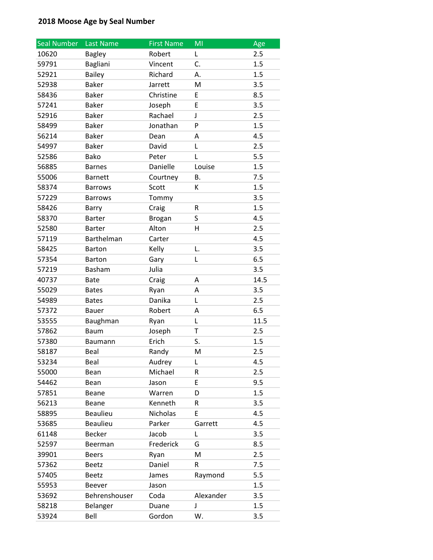| <b>Seal Number</b> | Last Name       | <b>First Name</b> | MI           | Age  |
|--------------------|-----------------|-------------------|--------------|------|
| 10620              | <b>Bagley</b>   | Robert            | Г            | 2.5  |
| 59791              | Bagliani        | Vincent           | C.           | 1.5  |
| 52921              | <b>Bailey</b>   | Richard           | А.           | 1.5  |
| 52938              | <b>Baker</b>    | Jarrett           | M            | 3.5  |
| 58436              | <b>Baker</b>    | Christine         | E            | 8.5  |
| 57241              | <b>Baker</b>    | Joseph            | E            | 3.5  |
| 52916              | <b>Baker</b>    | Rachael           | J            | 2.5  |
| 58499              | <b>Baker</b>    | Jonathan          | P            | 1.5  |
| 56214              | <b>Baker</b>    | Dean              | Α            | 4.5  |
| 54997              | <b>Baker</b>    | David             | L            | 2.5  |
| 52586              | Bako            | Peter             | L            | 5.5  |
| 56885              | <b>Barnes</b>   | Danielle          | Louise       | 1.5  |
| 55006              | <b>Barnett</b>  | Courtney          | <b>B.</b>    | 7.5  |
| 58374              | <b>Barrows</b>  | Scott             | K            | 1.5  |
| 57229              | <b>Barrows</b>  | Tommy             |              | 3.5  |
| 58426              | Barry           | Craig             | R            | 1.5  |
| 58370              | Barter          | <b>Brogan</b>     | S            | 4.5  |
| 52580              | <b>Barter</b>   | Alton             | н            | 2.5  |
| 57119              | Barthelman      | Carter            |              | 4.5  |
| 58425              | <b>Barton</b>   | Kelly             | L.           | 3.5  |
| 57354              | <b>Barton</b>   | Gary              | Г            | 6.5  |
| 57219              | Basham          | Julia             |              | 3.5  |
| 40737              | <b>Bate</b>     | Craig             | А            | 14.5 |
| 55029              | <b>Bates</b>    | Ryan              | Α            | 3.5  |
| 54989              | <b>Bates</b>    | Danika            | L            | 2.5  |
| 57372              | <b>Bauer</b>    | Robert            | Α            | 6.5  |
| 53555              | Baughman        | Ryan              | L            | 11.5 |
| 57862              | <b>Baum</b>     | Joseph            | $\mathsf{T}$ | 2.5  |
| 57380              | Baumann         | Erich             | S.           | 1.5  |
| 58187              | Beal            | Randy             | M            | 2.5  |
| 53234              | Beal            | Audrey            | L            | 4.5  |
| 55000              | Bean            | Michael           | R            | 2.5  |
| 54462              | Bean            | Jason             | E            | 9.5  |
| 57851              | Beane           | Warren            | D            | 1.5  |
| 56213              | Beane           | Kenneth           | R            | 3.5  |
| 58895              | <b>Beaulieu</b> | Nicholas          | E            | 4.5  |
| 53685              | Beaulieu        | Parker            | Garrett      | 4.5  |
| 61148              | Becker          | Jacob             | L            | 3.5  |
| 52597              | Beerman         | Frederick         | G            | 8.5  |
| 39901              | <b>Beers</b>    | Ryan              | M            | 2.5  |
| 57362              | Beetz           | Daniel            | R            | 7.5  |
| 57405              | <b>Beetz</b>    | James             | Raymond      | 5.5  |
| 55953              | Beever          | Jason             |              | 1.5  |
| 53692              | Behrenshouser   | Coda              | Alexander    | 3.5  |
| 58218              | Belanger        | Duane             | J            | 1.5  |
| 53924              | Bell            | Gordon            | W.           | 3.5  |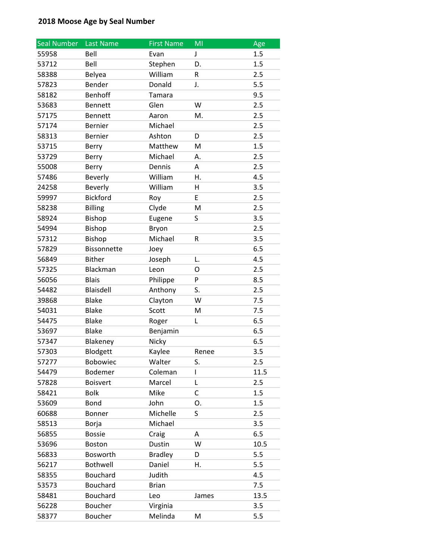| <b>Seal Number</b> | <b>Last Name</b>   | <b>First Name</b> | MI    | Age  |
|--------------------|--------------------|-------------------|-------|------|
| 55958              | Bell               | Evan              | J     | 1.5  |
| 53712              | Bell               | Stephen           | D.    | 1.5  |
| 58388              | Belyea             | William           | R     | 2.5  |
| 57823              | Bender             | Donald            | J.    | 5.5  |
| 58182              | <b>Benhoff</b>     | Tamara            |       | 9.5  |
| 53683              | <b>Bennett</b>     | Glen              | W     | 2.5  |
| 57175              | <b>Bennett</b>     | Aaron             | M.    | 2.5  |
| 57174              | <b>Bernier</b>     | Michael           |       | 2.5  |
| 58313              | <b>Bernier</b>     | Ashton            | D     | 2.5  |
| 53715              | Berry              | Matthew           | M     | 1.5  |
| 53729              | Berry              | Michael           | А.    | 2.5  |
| 55008              | Berry              | Dennis            | A     | 2.5  |
| 57486              | <b>Beverly</b>     | William           | Η.    | 4.5  |
| 24258              | <b>Beverly</b>     | William           | н     | 3.5  |
| 59997              | <b>Bickford</b>    | Roy               | E     | 2.5  |
| 58238              | <b>Billing</b>     | Clyde             | M     | 2.5  |
| 58924              | Bishop             | Eugene            | S     | 3.5  |
| 54994              | Bishop             | Bryon             |       | 2.5  |
| 57312              | Bishop             | Michael           | R     | 3.5  |
| 57829              | <b>Bissonnette</b> | Joey              |       | 6.5  |
| 56849              | <b>Bither</b>      | Joseph            | L.    | 4.5  |
| 57325              | Blackman           | Leon              | O     | 2.5  |
| 56056              | <b>Blais</b>       | Philippe          | P     | 8.5  |
| 54482              | Blaisdell          | Anthony           | S.    | 2.5  |
| 39868              | <b>Blake</b>       | Clayton           | W     | 7.5  |
| 54031              | <b>Blake</b>       | Scott             | M     | 7.5  |
| 54475              | <b>Blake</b>       | Roger             | Г     | 6.5  |
| 53697              | <b>Blake</b>       | Benjamin          |       | 6.5  |
| 57347              | Blakeney           | Nicky             |       | 6.5  |
| 57303              | Blodgett           | Kaylee            | Renee | 3.5  |
| 57277              | Bobowiec           | Walter            | S.    | 2.5  |
| 54479              | Bodemer            | Coleman           | L     | 11.5 |
| 57828              | <b>Boisvert</b>    | Marcel            | L     | 2.5  |
| 58421              | <b>Bolk</b>        | Mike              | C     | 1.5  |
| 53609              | <b>Bond</b>        | John              | О.    | 1.5  |
| 60688              | Bonner             | Michelle          | S     | 2.5  |
| 58513              | Borja              | Michael           |       | 3.5  |
| 56855              | <b>Bossie</b>      | Craig             | A     | 6.5  |
| 53696              | Boston             | Dustin            | W     | 10.5 |
| 56833              | Bosworth           | <b>Bradley</b>    | D     | 5.5  |
| 56217              | Bothwell           | Daniel            | Η.    | 5.5  |
| 58355              | Bouchard           | Judith            |       | 4.5  |
| 53573              | Bouchard           | <b>Brian</b>      |       | 7.5  |
| 58481              | Bouchard           | Leo               | James | 13.5 |
| 56228              | Boucher            | Virginia          |       | 3.5  |
| 58377              | Boucher            | Melinda           | M     | 5.5  |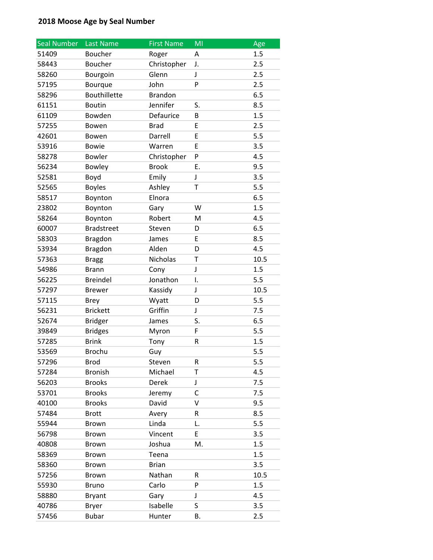| <b>Seal Number</b> | Last Name         | <b>First Name</b> | MI | Age  |
|--------------------|-------------------|-------------------|----|------|
| 51409              | Boucher           | Roger             | А  | 1.5  |
| 58443              | Boucher           | Christopher       | J. | 2.5  |
| 58260              | Bourgoin          | Glenn             | J  | 2.5  |
| 57195              | Bourque           | John              | P  | 2.5  |
| 58296              | Bouthillette      | <b>Brandon</b>    |    | 6.5  |
| 61151              | <b>Boutin</b>     | Jennifer          | S. | 8.5  |
| 61109              | Bowden            | Defaurice         | В  | 1.5  |
| 57255              | Bowen             | <b>Brad</b>       | E  | 2.5  |
| 42601              | Bowen             | Darrell           | E  | 5.5  |
| 53916              | <b>Bowie</b>      | Warren            | E  | 3.5  |
| 58278              | <b>Bowler</b>     | Christopher       | P  | 4.5  |
| 56234              | Bowley            | <b>Brook</b>      | Ε. | 9.5  |
| 52581              | Boyd              | Emily             | J  | 3.5  |
| 52565              | <b>Boyles</b>     | Ashley            | T  | 5.5  |
| 58517              | Boynton           | Elnora            |    | 6.5  |
| 23802              | Boynton           | Gary              | W  | 1.5  |
| 58264              | Boynton           | Robert            | M  | 4.5  |
| 60007              | <b>Bradstreet</b> | Steven            | D  | 6.5  |
| 58303              | <b>Bragdon</b>    | James             | E  | 8.5  |
| 53934              | <b>Bragdon</b>    | Alden             | D  | 4.5  |
| 57363              | <b>Bragg</b>      | Nicholas          | Т  | 10.5 |
| 54986              | <b>Brann</b>      | Cony              | J  | 1.5  |
| 56225              | <b>Breindel</b>   | Jonathon          | Ι. | 5.5  |
| 57297              | <b>Brewer</b>     | Kassidy           | J  | 10.5 |
| 57115              | <b>Brey</b>       | Wyatt             | D  | 5.5  |
| 56231              | <b>Brickett</b>   | Griffin           | J  | 7.5  |
| 52674              | <b>Bridger</b>    | James             | S. | 6.5  |
| 39849              | <b>Bridges</b>    | Myron             | F  | 5.5  |
| 57285              | <b>Brink</b>      | Tony              | R  | 1.5  |
| 53569              | <b>Brochu</b>     | Guy               |    | 5.5  |
| 57296              | <b>Brod</b>       | Steven            | R  | 5.5  |
| 57284              | <b>Bronish</b>    | Michael           | T  | 4.5  |
| 56203              | <b>Brooks</b>     | Derek             | J  | 7.5  |
| 53701              | <b>Brooks</b>     | Jeremy            | C  | 7.5  |
| 40100              | <b>Brooks</b>     | David             | v  | 9.5  |
| 57484              | <b>Brott</b>      | Avery             | R  | 8.5  |
| 55944              | Brown             | Linda             | L. | 5.5  |
| 56798              | <b>Brown</b>      | Vincent           | E  | 3.5  |
| 40808              | <b>Brown</b>      | Joshua            | M. | 1.5  |
| 58369              | Brown             | Teena             |    | 1.5  |
| 58360              | Brown             | <b>Brian</b>      |    | 3.5  |
| 57256              | Brown             | Nathan            | R  | 10.5 |
| 55930              | <b>Bruno</b>      | Carlo             | P  | 1.5  |
| 58880              | <b>Bryant</b>     | Gary              | J  | 4.5  |
| 40786              | <b>Bryer</b>      | Isabelle          | S  | 3.5  |
| 57456              | <b>Bubar</b>      | Hunter            | Β. | 2.5  |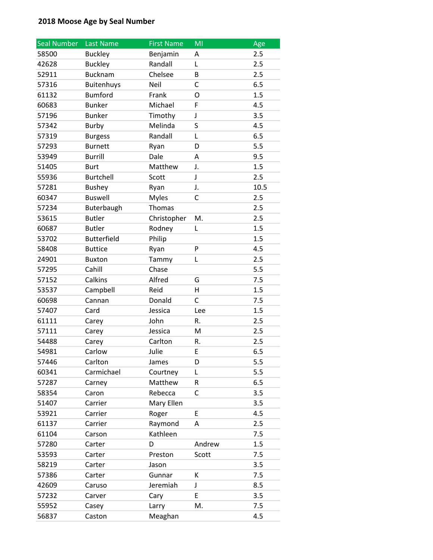| <b>Seal Number</b> | Last Name          | <b>First Name</b> | MI     | Age  |
|--------------------|--------------------|-------------------|--------|------|
| 58500              | <b>Buckley</b>     | Benjamin          | А      | 2.5  |
| 42628              | <b>Buckley</b>     | Randall           | Г      | 2.5  |
| 52911              | <b>Bucknam</b>     | Chelsee           | B      | 2.5  |
| 57316              | <b>Buitenhuys</b>  | Neil              | C      | 6.5  |
| 61132              | <b>Bumford</b>     | Frank             | O      | 1.5  |
| 60683              | <b>Bunker</b>      | Michael           | F      | 4.5  |
| 57196              | <b>Bunker</b>      | Timothy           | J      | 3.5  |
| 57342              | <b>Burby</b>       | Melinda           | S      | 4.5  |
| 57319              | <b>Burgess</b>     | Randall           | L      | 6.5  |
| 57293              | <b>Burnett</b>     | Ryan              | D      | 5.5  |
| 53949              | <b>Burrill</b>     | Dale              | А      | 9.5  |
| 51405              | <b>Burt</b>        | Matthew           | J.     | 1.5  |
| 55936              | <b>Burtchell</b>   | Scott             | J      | 2.5  |
| 57281              | <b>Bushey</b>      | Ryan              | J.     | 10.5 |
| 60347              | <b>Buswell</b>     | <b>Myles</b>      | C      | 2.5  |
| 57234              | Buterbaugh         | Thomas            |        | 2.5  |
| 53615              | <b>Butler</b>      | Christopher       | M.     | 2.5  |
| 60687              | <b>Butler</b>      | Rodney            | Г      | 1.5  |
| 53702              | <b>Butterfield</b> | Philip            |        | 1.5  |
| 58408              | <b>Buttice</b>     | Ryan              | P      | 4.5  |
| 24901              | <b>Buxton</b>      | Tammy             | Г      | 2.5  |
| 57295              | Cahill             | Chase             |        | 5.5  |
| 57152              | Calkins            | Alfred            | G      | 7.5  |
| 53537              | Campbell           | Reid              | H      | 1.5  |
| 60698              | Cannan             | Donald            | C      | 7.5  |
| 57407              | Card               | Jessica           | Lee    | 1.5  |
| 61111              | Carey              | John              | R.     | 2.5  |
| 57111              | Carey              | Jessica           | M      | 2.5  |
| 54488              | Carey              | Carlton           | R.     | 2.5  |
| 54981              | Carlow             | Julie             | E      | 6.5  |
| 57446              | Carlton            | James             | D      | 5.5  |
| 60341              | Carmichael         | Courtney          | L      | 5.5  |
| 57287              | Carney             | Matthew           | R      | 6.5  |
| 58354              | Caron              | Rebecca           | C      | 3.5  |
| 51407              | Carrier            | Mary Ellen        |        | 3.5  |
| 53921              | Carrier            | Roger             | E      | 4.5  |
| 61137              | Carrier            | Raymond           | А      | 2.5  |
| 61104              | Carson             | Kathleen          |        | 7.5  |
| 57280              | Carter             | D                 | Andrew | 1.5  |
| 53593              | Carter             | Preston           | Scott  | 7.5  |
| 58219              | Carter             | Jason             |        | 3.5  |
| 57386              | Carter             | Gunnar            | К      | 7.5  |
| 42609              | Caruso             | Jeremiah          | J      | 8.5  |
| 57232              | Carver             | Cary              | E      | 3.5  |
| 55952              | Casey              | Larry             | M.     | 7.5  |
| 56837              | Caston             | Meaghan           |        | 4.5  |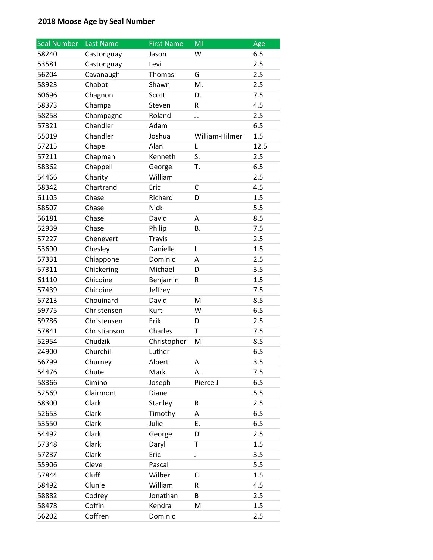| <b>Seal Number</b> | Last Name    | <b>First Name</b> | MI             | Age  |
|--------------------|--------------|-------------------|----------------|------|
| 58240              | Castonguay   | Jason             | W              | 6.5  |
| 53581              | Castonguay   | Levi              |                | 2.5  |
| 56204              | Cavanaugh    | Thomas            | G              | 2.5  |
| 58923              | Chabot       | Shawn             | M.             | 2.5  |
| 60696              | Chagnon      | Scott             | D.             | 7.5  |
| 58373              | Champa       | Steven            | R              | 4.5  |
| 58258              | Champagne    | Roland            | J.             | 2.5  |
| 57321              | Chandler     | Adam              |                | 6.5  |
| 55019              | Chandler     | Joshua            | William-Hilmer | 1.5  |
| 57215              | Chapel       | Alan              | L              | 12.5 |
| 57211              | Chapman      | Kenneth           | S.             | 2.5  |
| 58362              | Chappell     | George            | T.             | 6.5  |
| 54466              | Charity      | William           |                | 2.5  |
| 58342              | Chartrand    | Eric              | С              | 4.5  |
| 61105              | Chase        | Richard           | D              | 1.5  |
| 58507              | Chase        | <b>Nick</b>       |                | 5.5  |
| 56181              | Chase        | David             | A              | 8.5  |
| 52939              | Chase        | Philip            | В.             | 7.5  |
| 57227              | Chenevert    | <b>Travis</b>     |                | 2.5  |
| 53690              | Chesley      | Danielle          | L              | 1.5  |
| 57331              | Chiappone    | Dominic           | А              | 2.5  |
| 57311              | Chickering   | Michael           | D              | 3.5  |
| 61110              | Chicoine     | Benjamin          | R              | 1.5  |
| 57439              | Chicoine     | Jeffrey           |                | 7.5  |
| 57213              | Chouinard    | David             | M              | 8.5  |
| 59775              | Christensen  | Kurt              | W              | 6.5  |
| 59786              | Christensen  | Erik              | D              | 2.5  |
| 57841              | Christianson | Charles           | Т              | 7.5  |
| 52954              | Chudzik      | Christopher       | M              | 8.5  |
| 24900              | Churchill    | Luther            |                | 6.5  |
| 56799              | Churney      | Albert            | A              | 3.5  |
| 54476              | Chute        | Mark              | А.             | 7.5  |
| 58366              | Cimino       | Joseph            | Pierce J       | 6.5  |
| 52569              | Clairmont    | Diane             |                | 5.5  |
| 58300              | Clark        | Stanley           | R              | 2.5  |
| 52653              | Clark        | Timothy           | A              | 6.5  |
| 53550              | Clark        | Julie             | Ε.             | 6.5  |
| 54492              | Clark        | George            | D              | 2.5  |
| 57348              | Clark        | Daryl             | T              | 1.5  |
| 57237              | Clark        | Eric              | J              | 3.5  |
| 55906              | Cleve        | Pascal            |                | 5.5  |
| 57844              | Cluff        | Wilber            | C              | 1.5  |
| 58492              | Clunie       | William           | R              | 4.5  |
| 58882              | Codrey       | Jonathan          | B              | 2.5  |
| 58478              | Coffin       | Kendra            | М              | 1.5  |
| 56202              | Coffren      | Dominic           |                | 2.5  |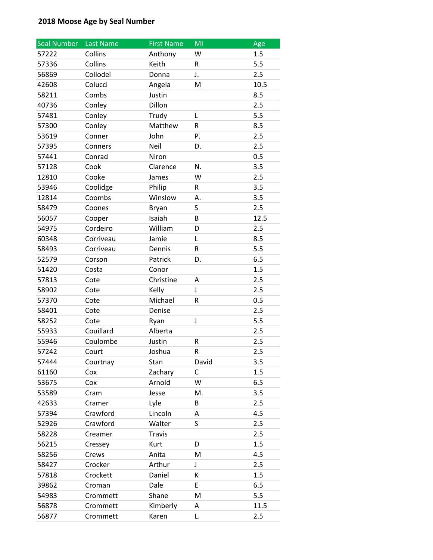| <b>Seal Number</b> | Last Name | <b>First Name</b> | MI           | Age  |
|--------------------|-----------|-------------------|--------------|------|
| 57222              | Collins   | Anthony           | W            | 1.5  |
| 57336              | Collins   | Keith             | R            | 5.5  |
| 56869              | Collodel  | Donna             | J.           | 2.5  |
| 42608              | Colucci   | Angela            | M            | 10.5 |
| 58211              | Combs     | Justin            |              | 8.5  |
| 40736              | Conley    | Dillon            |              | 2.5  |
| 57481              | Conley    | Trudy             | Г            | 5.5  |
| 57300              | Conley    | Matthew           | R            | 8.5  |
| 53619              | Conner    | John              | Ρ.           | 2.5  |
| 57395              | Conners   | Neil              | D.           | 2.5  |
| 57441              | Conrad    | Niron             |              | 0.5  |
| 57128              | Cook      | Clarence          | N.           | 3.5  |
| 12810              | Cooke     | James             | W            | 2.5  |
| 53946              | Coolidge  | Philip            | R            | 3.5  |
| 12814              | Coombs    | Winslow           | А.           | 3.5  |
| 58479              | Coones    | Bryan             | S            | 2.5  |
| 56057              | Cooper    | Isaiah            | B            | 12.5 |
| 54975              | Cordeiro  | William           | D            | 2.5  |
| 60348              | Corriveau | Jamie             | L            | 8.5  |
| 58493              | Corriveau | Dennis            | R            | 5.5  |
| 52579              | Corson    | Patrick           | D.           | 6.5  |
| 51420              | Costa     | Conor             |              | 1.5  |
| 57813              | Cote      | Christine         | А            | 2.5  |
| 58902              | Cote      | Kelly             | J            | 2.5  |
| 57370              | Cote      | Michael           | R            | 0.5  |
| 58401              | Cote      | Denise            |              | 2.5  |
| 58252              | Cote      | Ryan              | J            | 5.5  |
| 55933              | Couillard | Alberta           |              | 2.5  |
| 55946              | Coulombe  | Justin            | R            | 2.5  |
| 57242              | Court     | Joshua            | R            | 2.5  |
| 57444              | Courtnay  | Stan              | David        | 3.5  |
| 61160              | Cox       | Zachary           | $\mathsf{C}$ | 1.5  |
| 53675              | Cox       | Arnold            | W            | 6.5  |
| 53589              | Cram      | Jesse             | M.           | 3.5  |
| 42633              | Cramer    | Lyle              | В            | 2.5  |
| 57394              | Crawford  | Lincoln           | A            | 4.5  |
| 52926              | Crawford  | Walter            | S            | 2.5  |
| 58228              | Creamer   | <b>Travis</b>     |              | 2.5  |
| 56215              | Cressey   | Kurt              | D            | 1.5  |
| 58256              | Crews     | Anita             | M            | 4.5  |
| 58427              | Crocker   | Arthur            | J            | 2.5  |
| 57818              | Crockett  | Daniel            | К            | 1.5  |
| 39862              | Croman    | Dale              | E            | 6.5  |
| 54983              | Crommett  | Shane             | M            | 5.5  |
| 56878              | Crommett  | Kimberly          | Α            | 11.5 |
| 56877              | Crommett  | Karen             | L.           | 2.5  |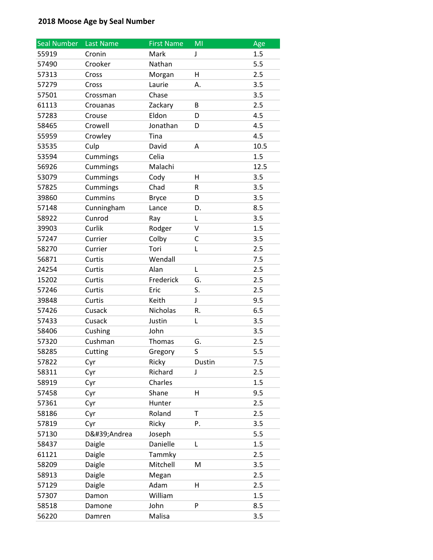| Seal Number | <b>Last Name</b> | <b>First Name</b> | MI     | Age  |
|-------------|------------------|-------------------|--------|------|
| 55919       | Cronin           | Mark              | J      | 1.5  |
| 57490       | Crooker          | Nathan            |        | 5.5  |
| 57313       | Cross            | Morgan            | H      | 2.5  |
| 57279       | Cross            | Laurie            | А.     | 3.5  |
| 57501       | Crossman         | Chase             |        | 3.5  |
| 61113       | Crouanas         | Zackary           | B      | 2.5  |
| 57283       | Crouse           | Eldon             | D      | 4.5  |
| 58465       | Crowell          | Jonathan          | D      | 4.5  |
| 55959       | Crowley          | Tina              |        | 4.5  |
| 53535       | Culp             | David             | A      | 10.5 |
| 53594       | Cummings         | Celia             |        | 1.5  |
| 56926       | Cummings         | Malachi           |        | 12.5 |
| 53079       | Cummings         | Cody              | H      | 3.5  |
| 57825       | Cummings         | Chad              | R      | 3.5  |
| 39860       | <b>Cummins</b>   | <b>Bryce</b>      | D      | 3.5  |
| 57148       | Cunningham       | Lance             | D.     | 8.5  |
| 58922       | Cunrod           | Ray               | Г      | 3.5  |
| 39903       | Curlik           | Rodger            | V      | 1.5  |
| 57247       | Currier          | Colby             | С      | 3.5  |
| 58270       | Currier          | Tori              | L      | 2.5  |
| 56871       | Curtis           | Wendall           |        | 7.5  |
| 24254       | Curtis           | Alan              | L      | 2.5  |
| 15202       | Curtis           | Frederick         | G.     | 2.5  |
| 57246       | Curtis           | Eric              | S.     | 2.5  |
| 39848       | Curtis           | Keith             | J      | 9.5  |
| 57426       | Cusack           | Nicholas          | R.     | 6.5  |
| 57433       | Cusack           | Justin            | L      | 3.5  |
| 58406       | Cushing          | John              |        | 3.5  |
| 57320       | Cushman          | Thomas            | G.     | 2.5  |
| 58285       | Cutting          | Gregory           | S      | 5.5  |
| 57822       | Cyr              | Ricky             | Dustin | 7.5  |
| 58311       | Cyr              | Richard           | J      | 2.5  |
| 58919       | Cyr              | Charles           |        | 1.5  |
| 57458       | Cyr              | Shane             | н      | 9.5  |
| 57361       | Cyr              | Hunter            |        | 2.5  |
| 58186       | Cyr              | Roland            | Τ      | 2.5  |
| 57819       | Cyr              | Ricky             | Ρ.     | 3.5  |
| 57130       | D'Andrea         | Joseph            |        | 5.5  |
| 58437       | Daigle           | Danielle          | L      | 1.5  |
| 61121       | Daigle           | Tammky            |        | 2.5  |
| 58209       | Daigle           | Mitchell          | M      | 3.5  |
| 58913       | Daigle           | Megan             |        | 2.5  |
| 57129       | Daigle           | Adam              | н      | 2.5  |
| 57307       | Damon            | William           |        | 1.5  |
| 58518       | Damone           | John              | P      | 8.5  |
| 56220       | Damren           | Malisa            |        | 3.5  |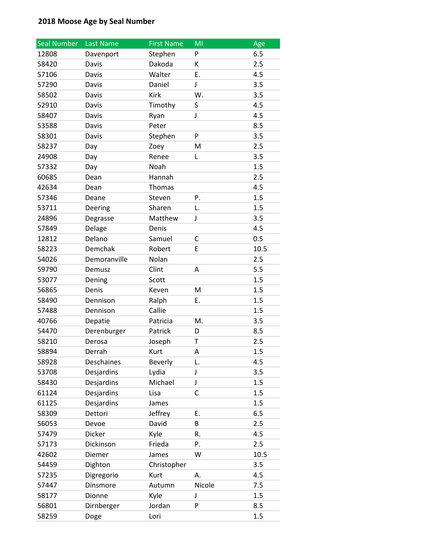| <b>Seal Number</b> | Last Name    | <b>First Name</b> | MI     | Age  |
|--------------------|--------------|-------------------|--------|------|
| 12808              | Davenport    | Stephen           | P      | 6.5  |
| 58420              | Davis        | Dakoda            | К      | 2.5  |
| 57106              | Davis        | Walter            | Ε.     | 4.5  |
| 57290              | Davis        | Daniel            | J      | 3.5  |
| 58502              | Davis        | Kirk              | W.     | 3.5  |
| 52910              | Davis        | Timothy           | S      | 4.5  |
| 58407              | Davis        | Ryan              | J      | 4.5  |
| 53588              | Davis        | Peter             |        | 8.5  |
| 58301              | Davis        | Stephen           | P      | 3.5  |
| 58237              | Day          | Zoey              | M      | 2.5  |
| 24908              | Day          | Renee             | Г      | 3.5  |
| 57332              | Day          | Noah              |        | 1.5  |
| 60685              | Dean         | Hannah            |        | 2.5  |
| 42634              | Dean         | Thomas            |        | 4.5  |
| 57346              | Deane        | Steven            | P.     | 1.5  |
| 53711              | Deering      | Sharen            | L.     | 1.5  |
| 24896              | Degrasse     | Matthew           | J      | 3.5  |
| 57849              | Delage       | Denis             |        | 4.5  |
| 12812              | Delano       | Samuel            | C      | 0.5  |
| 58223              | Demchak      | Robert            | E      | 10.5 |
| 54026              | Demoranville | Nolan             |        | 2.5  |
| 59790              | Demusz       | Clint             | А      | 5.5  |
| 53077              | Dening       | Scott             |        | 1.5  |
| 56865              | Denis        | Keven             | M      | 1.5  |
| 58490              | Dennison     | Ralph             | Ε.     | 1.5  |
| 57488              | Dennison     | Callie            |        | 1.5  |
| 40766              | Depatie      | Patricia          | M.     | 3.5  |
| 54470              | Derenburger  | Patrick           | D      | 8.5  |
| 58210              | Derosa       | Joseph            | Τ      | 2.5  |
| 58894              | Derrah       | Kurt              | Α      | 1.5  |
| 58928              | Deschaines   | Beverly           | L.     | 4.5  |
| 53708              | Desjardins   | Lydia             | J      | 3.5  |
| 58430              | Desjardins   | Michael           | J      | 1.5  |
| 61124              | Desjardins   | Lisa              | C      | 1.5  |
| 61125              | Desjardins   | James             |        | 1.5  |
| 58309              | Dettori      | Jeffrey           | Ε.     | 6.5  |
| 56053              | Devoe        | David             | B      | 2.5  |
| 57479              | Dicker       | Kyle              | R.     | 4.5  |
| 57173              | Dickinson    | Frieda            | P.     | 2.5  |
| 42602              | Diemer       | James             | W      | 10.5 |
| 54459              | Dighton      | Christopher       |        | 3.5  |
| 57235              | Digregorio   | Kurt              | А.     | 4.5  |
| 57447              | Dinsmore     | Autumn            | Nicole | 7.5  |
| 58177              | Dionne       | Kyle              | J      | 1.5  |
| 56801              | Dirnberger   | Jordan            | P      | 8.5  |
| 58259              | Doge         | Lori              |        | 1.5  |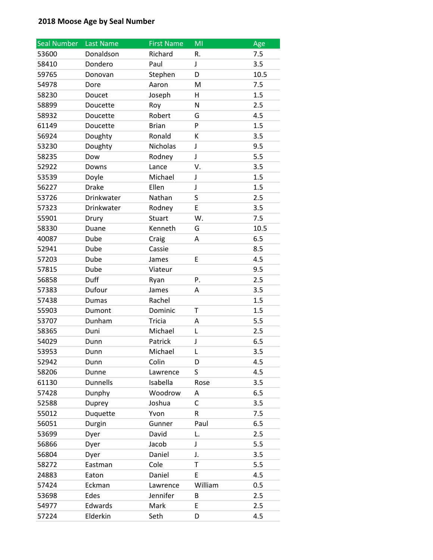| Seal Number | Last Name       | <b>First Name</b> | MI      | Age  |
|-------------|-----------------|-------------------|---------|------|
| 53600       | Donaldson       | Richard           | R.      | 7.5  |
| 58410       | Dondero         | Paul              | J       | 3.5  |
| 59765       | Donovan         | Stephen           | D       | 10.5 |
| 54978       | Dore            | Aaron             | M       | 7.5  |
| 58230       | Doucet          | Joseph            | н       | 1.5  |
| 58899       | Doucette        | Roy               | N       | 2.5  |
| 58932       | Doucette        | Robert            | G       | 4.5  |
| 61149       | Doucette        | <b>Brian</b>      | P       | 1.5  |
| 56924       | Doughty         | Ronald            | К       | 3.5  |
| 53230       | Doughty         | Nicholas          | J       | 9.5  |
| 58235       | Dow             | Rodney            | J       | 5.5  |
| 52922       | Downs           | Lance             | V.      | 3.5  |
| 53539       | Doyle           | Michael           | J       | 1.5  |
| 56227       | <b>Drake</b>    | Ellen             | J       | 1.5  |
| 53726       | Drinkwater      | Nathan            | S       | 2.5  |
| 57323       | Drinkwater      | Rodney            | E       | 3.5  |
| 55901       | Drury           | Stuart            | W.      | 7.5  |
| 58330       | Duane           | Kenneth           | G       | 10.5 |
| 40087       | Dube            | Craig             | A       | 6.5  |
| 52941       | Dube            | Cassie            |         | 8.5  |
| 57203       | Dube            | James             | Ε       | 4.5  |
| 57815       | Dube            | Viateur           |         | 9.5  |
| 56858       | Duff            | Ryan              | Ρ.      | 2.5  |
| 57383       | Dufour          | James             | A       | 3.5  |
| 57438       | <b>Dumas</b>    | Rachel            |         | 1.5  |
| 55903       | Dumont          | Dominic           | Т       | 1.5  |
| 53707       | Dunham          | <b>Tricia</b>     | А       | 5.5  |
| 58365       | Duni            | Michael           | L       | 2.5  |
| 54029       | Dunn            | Patrick           | J       | 6.5  |
| 53953       | Dunn            | Michael           | L       | 3.5  |
| 52942       | Dunn            | Colin             | D       | 4.5  |
| 58206       | Dunne           | Lawrence          | S       | 4.5  |
| 61130       | <b>Dunnells</b> | Isabella          | Rose    | 3.5  |
| 57428       | Dunphy          | Woodrow           | Α       | 6.5  |
| 52588       | Duprey          | Joshua            | С       | 3.5  |
| 55012       | Duquette        | Yvon              | R       | 7.5  |
| 56051       | Durgin          | Gunner            | Paul    | 6.5  |
| 53699       | Dyer            | David             | L.      | 2.5  |
| 56866       | Dyer            | Jacob             | J       | 5.5  |
| 56804       | Dyer            | Daniel            | J.      | 3.5  |
| 58272       | Eastman         | Cole              | T       | 5.5  |
| 24883       | Eaton           | Daniel            | Ε       | 4.5  |
| 57424       | Eckman          | Lawrence          | William | 0.5  |
| 53698       | Edes            | Jennifer          | B       | 2.5  |
| 54977       | Edwards         | Mark              | E       | 2.5  |
| 57224       | Elderkin        | Seth              | D       | 4.5  |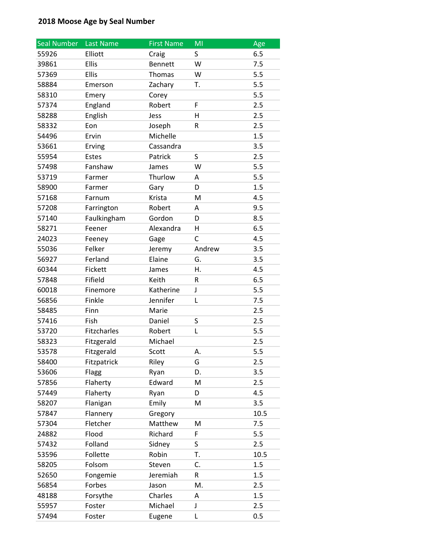| <b>Seal Number</b> | Last Name    | <b>First Name</b> | MI      | Age  |
|--------------------|--------------|-------------------|---------|------|
| 55926              | Elliott      | Craig             | S       | 6.5  |
| 39861              | <b>Ellis</b> | Bennett           | W       | 7.5  |
| 57369              | <b>Ellis</b> | Thomas            | W       | 5.5  |
| 58884              | Emerson      | Zachary           | Т.      | 5.5  |
| 58310              | Emery        | Corey             |         | 5.5  |
| 57374              | England      | Robert            | F       | 2.5  |
| 58288              | English      | Jess              | н       | 2.5  |
| 58332              | Eon          | Joseph            | R       | 2.5  |
| 54496              | Ervin        | Michelle          |         | 1.5  |
| 53661              | Erving       | Cassandra         |         | 3.5  |
| 55954              | Estes        | Patrick           | S       | 2.5  |
| 57498              | Fanshaw      | James             | W       | 5.5  |
| 53719              | Farmer       | Thurlow           | A       | 5.5  |
| 58900              | Farmer       | Gary              | D       | 1.5  |
| 57168              | Farnum       | Krista            | M       | 4.5  |
| 57208              | Farrington   | Robert            | A       | 9.5  |
| 57140              | Faulkingham  | Gordon            | D       | 8.5  |
| 58271              | Feener       | Alexandra         | Η       | 6.5  |
| 24023              | Feeney       | Gage              | C       | 4.5  |
| 55036              | Felker       | Jeremy            | Andrew  | 3.5  |
| 56927              | Ferland      | Elaine            | G.      | 3.5  |
| 60344              | Fickett      | James             | Η.      | 4.5  |
| 57848              | Fifield      | Keith             | R       | 6.5  |
| 60018              | Finemore     | Katherine         | J       | 5.5  |
| 56856              | Finkle       | Jennifer          | Г       | 7.5  |
| 58485              | Finn         | Marie             |         | 2.5  |
| 57416              | Fish         | Daniel            | $\sf S$ | 2.5  |
| 53720              | Fitzcharles  | Robert            | L       | 5.5  |
| 58323              | Fitzgerald   | Michael           |         | 2.5  |
| 53578              | Fitzgerald   | Scott             | А.      | 5.5  |
| 58400              | Fitzpatrick  | Riley             | G       | 2.5  |
| 53606              | Flagg        | Ryan              | D.      | 3.5  |
| 57856              | Flaherty     | Edward            | M       | 2.5  |
| 57449              | Flaherty     | Ryan              | D       | 4.5  |
| 58207              | Flanigan     | Emily             | M       | 3.5  |
| 57847              | Flannery     | Gregory           |         | 10.5 |
| 57304              | Fletcher     | Matthew           | Μ       | 7.5  |
| 24882              | Flood        | Richard           | F       | 5.5  |
| 57432              | Folland      | Sidney            | S       | 2.5  |
| 53596              | Follette     | Robin             | T.      | 10.5 |
| 58205              | Folsom       | Steven            | C.      | 1.5  |
| 52650              | Fongemie     | Jeremiah          | R       | 1.5  |
| 56854              | Forbes       | Jason             | M.      | 2.5  |
| 48188              | Forsythe     | Charles           | Α       | 1.5  |
| 55957              | Foster       | Michael           | J       | 2.5  |
| 57494              | Foster       | Eugene            | Г       | 0.5  |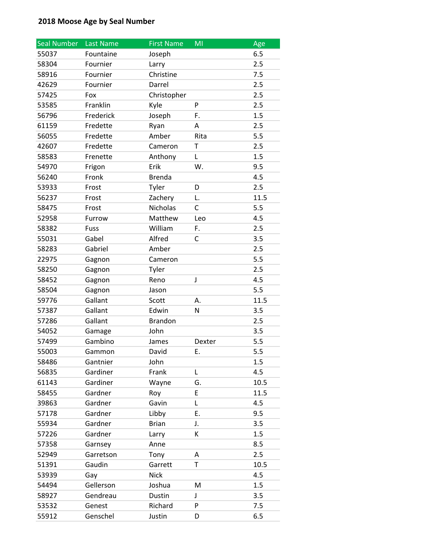| <b>Seal Number</b> | Last Name | <b>First Name</b> | MI          | Age  |
|--------------------|-----------|-------------------|-------------|------|
| 55037              | Fountaine | Joseph            |             | 6.5  |
| 58304              | Fournier  | Larry             |             | 2.5  |
| 58916              | Fournier  | Christine         |             | 7.5  |
| 42629              | Fournier  | Darrel            |             | 2.5  |
| 57425              | Fox       | Christopher       |             | 2.5  |
| 53585              | Franklin  | Kyle              | P           | 2.5  |
| 56796              | Frederick | Joseph            | F.          | 1.5  |
| 61159              | Fredette  | Ryan              | А           | 2.5  |
| 56055              | Fredette  | Amber             | Rita        | 5.5  |
| 42607              | Fredette  | Cameron           | T           | 2.5  |
| 58583              | Frenette  | Anthony           | L           | 1.5  |
| 54970              | Frigon    | Erik              | W.          | 9.5  |
| 56240              | Fronk     | <b>Brenda</b>     |             | 4.5  |
| 53933              | Frost     | Tyler             | D           | 2.5  |
| 56237              | Frost     | Zachery           | L.          | 11.5 |
| 58475              | Frost     | <b>Nicholas</b>   | С           | 5.5  |
| 52958              | Furrow    | Matthew           | Leo         | 4.5  |
| 58382              | Fuss      | William           | F.          | 2.5  |
| 55031              | Gabel     | Alfred            | С           | 3.5  |
| 58283              | Gabriel   | Amber             |             | 2.5  |
| 22975              | Gagnon    | Cameron           |             | 5.5  |
| 58250              | Gagnon    | Tyler             |             | 2.5  |
| 58452              | Gagnon    | Reno              | $\mathsf J$ | 4.5  |
| 58504              | Gagnon    | Jason             |             | 5.5  |
| 59776              | Gallant   | Scott             | А.          | 11.5 |
| 57387              | Gallant   | Edwin             | N           | 3.5  |
| 57286              | Gallant   | <b>Brandon</b>    |             | 2.5  |
| 54052              | Gamage    | John              |             | 3.5  |
| 57499              | Gambino   | James             | Dexter      | 5.5  |
| 55003              | Gammon    | David             | Ε.          | 5.5  |
| 58486              | Gantnier  | John              |             | 1.5  |
| 56835              | Gardiner  | Frank             | L           | 4.5  |
| 61143              | Gardiner  | Wayne             | G.          | 10.5 |
| 58455              | Gardner   | Roy               | E           | 11.5 |
| 39863              | Gardner   | Gavin             | L           | 4.5  |
| 57178              | Gardner   | Libby             | Ε.          | 9.5  |
| 55934              | Gardner   | <b>Brian</b>      | J.          | 3.5  |
| 57226              | Gardner   | Larry             | K           | 1.5  |
| 57358              | Garnsey   | Anne              |             | 8.5  |
| 52949              | Garretson | Tony              | Α           | 2.5  |
| 51391              | Gaudin    | Garrett           | T.          | 10.5 |
| 53939              | Gay       | <b>Nick</b>       |             | 4.5  |
| 54494              | Gellerson | Joshua            | M           | 1.5  |
| 58927              | Gendreau  | Dustin            | J           | 3.5  |
| 53532              | Genest    | Richard           | P           | 7.5  |
| 55912              | Genschel  | Justin            | D           | 6.5  |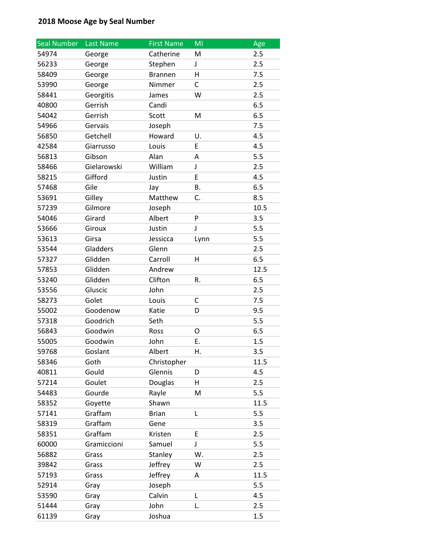| <b>Seal Number</b> | Last Name   | <b>First Name</b> | MI   | Age  |
|--------------------|-------------|-------------------|------|------|
| 54974              | George      | Catherine         | M    | 2.5  |
| 56233              | George      | Stephen           | J    | 2.5  |
| 58409              | George      | <b>Brannen</b>    | H    | 7.5  |
| 53990              | George      | Nimmer            | C    | 2.5  |
| 58441              | Georgitis   | James             | W    | 2.5  |
| 40800              | Gerrish     | Candi             |      | 6.5  |
| 54042              | Gerrish     | Scott             | M    | 6.5  |
| 54966              | Gervais     | Joseph            |      | 7.5  |
| 56850              | Getchell    | Howard            | U.   | 4.5  |
| 42584              | Giarrusso   | Louis             | E    | 4.5  |
| 56813              | Gibson      | Alan              | A    | 5.5  |
| 58466              | Gielarowski | William           | J    | 2.5  |
| 58215              | Gifford     | Justin            | E    | 4.5  |
| 57468              | Gile        | Jay               | Β.   | 6.5  |
| 53691              | Gilley      | Matthew           | C.   | 8.5  |
| 57239              | Gilmore     | Joseph            |      | 10.5 |
| 54046              | Girard      | Albert            | P    | 3.5  |
| 53666              | Giroux      | Justin            | J    | 5.5  |
| 53613              | Girsa       | Jessicca          | Lynn | 5.5  |
| 53544              | Gladders    | Glenn             |      | 2.5  |
| 57327              | Glidden     | Carroll           | н    | 6.5  |
| 57853              | Glidden     | Andrew            |      | 12.5 |
| 53240              | Glidden     | Clifton           | R.   | 6.5  |
| 53556              | Gluscic     | John              |      | 2.5  |
| 58273              | Golet       | Louis             | С    | 7.5  |
| 55002              | Goodenow    | Katie             | D    | 9.5  |
| 57318              | Goodrich    | Seth              |      | 5.5  |
| 56843              | Goodwin     | Ross              | 0    | 6.5  |
| 55005              | Goodwin     | John              | Ε.   | 1.5  |
| 59768              | Goslant     | Albert            | Η.   | 3.5  |
| 58346              | Goth        | Christopher       |      | 11.5 |
| 40811              | Gould       | Glennis           | D    | 4.5  |
| 57214              | Goulet      | Douglas           | Η    | 2.5  |
| 54483              | Gourde      | Rayle             | M    | 5.5  |
| 58352              | Goyette     | Shawn             |      | 11.5 |
| 57141              | Graffam     | <b>Brian</b>      | Г    | 5.5  |
| 58319              | Graffam     | Gene              |      | 3.5  |
| 58351              | Graffam     | Kristen           | E    | 2.5  |
| 60000              | Gramiccioni | Samuel            | J    | 5.5  |
| 56882              | Grass       | Stanley           | W.   | 2.5  |
| 39842              | Grass       | Jeffrey           | W    | 2.5  |
| 57193              | Grass       | Jeffrey           | A    | 11.5 |
| 52914              | Gray        | Joseph            |      | 5.5  |
| 53590              | Gray        | Calvin            | L    | 4.5  |
| 51444              | Gray        | John              | L.   | 2.5  |
| 61139              | Gray        | Joshua            |      | 1.5  |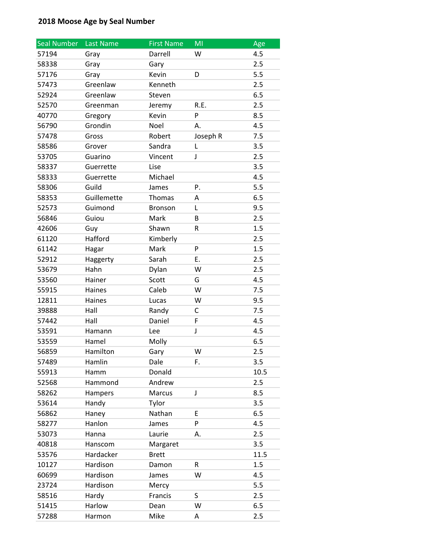| Seal Number | Last Name   | <b>First Name</b> | MI       | Age  |
|-------------|-------------|-------------------|----------|------|
| 57194       | Gray        | Darrell           | W        | 4.5  |
| 58338       | Gray        | Gary              |          | 2.5  |
| 57176       | Gray        | Kevin             | D        | 5.5  |
| 57473       | Greenlaw    | Kenneth           |          | 2.5  |
| 52924       | Greenlaw    | Steven            |          | 6.5  |
| 52570       | Greenman    | Jeremy            | R.E.     | 2.5  |
| 40770       | Gregory     | Kevin             | P        | 8.5  |
| 56790       | Grondin     | Noel              | А.       | 4.5  |
| 57478       | Gross       | Robert            | Joseph R | 7.5  |
| 58586       | Grover      | Sandra            | L        | 3.5  |
| 53705       | Guarino     | Vincent           | J        | 2.5  |
| 58337       | Guerrette   | Lise              |          | 3.5  |
| 58333       | Guerrette   | Michael           |          | 4.5  |
| 58306       | Guild       | James             | P.       | 5.5  |
| 58353       | Guillemette | Thomas            | A        | 6.5  |
| 52573       | Guimond     | Bronson           | L        | 9.5  |
| 56846       | Guiou       | Mark              | В        | 2.5  |
| 42606       | Guy         | Shawn             | R        | 1.5  |
| 61120       | Hafford     | Kimberly          |          | 2.5  |
| 61142       | Hagar       | Mark              | P        | 1.5  |
| 52912       | Haggerty    | Sarah             | Ε.       | 2.5  |
| 53679       | Hahn        | Dylan             | W        | 2.5  |
| 53560       | Hainer      | Scott             | G        | 4.5  |
| 55915       | Haines      | Caleb             | W        | 7.5  |
| 12811       | Haines      | Lucas             | W        | 9.5  |
| 39888       | Hall        | Randy             | С        | 7.5  |
| 57442       | Hall        | Daniel            | F        | 4.5  |
| 53591       | Hamann      | Lee               | J        | 4.5  |
| 53559       | Hamel       | Molly             |          | 6.5  |
| 56859       | Hamilton    | Gary              | W        | 2.5  |
| 57489       | Hamlin      | Dale              | F.       | 3.5  |
| 55913       | Hamm        | Donald            |          | 10.5 |
| 52568       | Hammond     | Andrew            |          | 2.5  |
| 58262       | Hampers     | Marcus            | J        | 8.5  |
| 53614       | Handy       | Tylor             |          | 3.5  |
| 56862       | Haney       | Nathan            | Е        | 6.5  |
| 58277       | Hanlon      | James             | P        | 4.5  |
| 53073       | Hanna       | Laurie            | А.       | 2.5  |
| 40818       | Hanscom     | Margaret          |          | 3.5  |
| 53576       | Hardacker   | <b>Brett</b>      |          | 11.5 |
| 10127       | Hardison    | Damon             | R        | 1.5  |
| 60699       | Hardison    | James             | W        | 4.5  |
| 23724       | Hardison    | Mercy             |          | 5.5  |
| 58516       | Hardy       | Francis           | S        | 2.5  |
| 51415       | Harlow      | Dean              | W        | 6.5  |
| 57288       | Harmon      | Mike              | A        | 2.5  |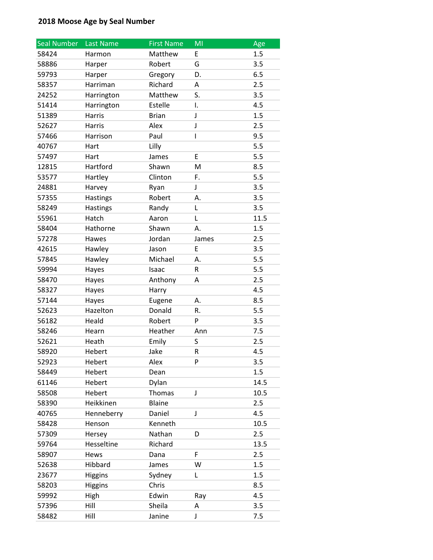| <b>Seal Number</b> | Last Name       | <b>First Name</b> | MI    | Age  |
|--------------------|-----------------|-------------------|-------|------|
| 58424              | Harmon          | Matthew           | E     | 1.5  |
| 58886              | Harper          | Robert            | G     | 3.5  |
| 59793              | Harper          | Gregory           | D.    | 6.5  |
| 58357              | Harriman        | Richard           | Α     | 2.5  |
| 24252              | Harrington      | Matthew           | S.    | 3.5  |
| 51414              | Harrington      | Estelle           | I.    | 4.5  |
| 51389              | Harris          | <b>Brian</b>      | J     | 1.5  |
| 52627              | <b>Harris</b>   | Alex              | J     | 2.5  |
| 57466              | Harrison        | Paul              | I     | 9.5  |
| 40767              | Hart            | Lilly             |       | 5.5  |
| 57497              | Hart            | James             | E     | 5.5  |
| 12815              | Hartford        | Shawn             | M     | 8.5  |
| 53577              | Hartley         | Clinton           | F.    | 5.5  |
| 24881              | Harvey          | Ryan              | J     | 3.5  |
| 57355              | <b>Hastings</b> | Robert            | А.    | 3.5  |
| 58249              | Hastings        | Randy             | L     | 3.5  |
| 55961              | Hatch           | Aaron             | L     | 11.5 |
| 58404              | Hathorne        | Shawn             | А.    | 1.5  |
| 57278              | Hawes           | Jordan            | James | 2.5  |
| 42615              | Hawley          | Jason             | E     | 3.5  |
| 57845              | Hawley          | Michael           | А.    | 5.5  |
| 59994              | Hayes           | Isaac             | R     | 5.5  |
| 58470              | Hayes           | Anthony           | А     | 2.5  |
| 58327              | Hayes           | Harry             |       | 4.5  |
| 57144              | Hayes           | Eugene            | А.    | 8.5  |
| 52623              | Hazelton        | Donald            | R.    | 5.5  |
| 56182              | Heald           | Robert            | P     | 3.5  |
| 58246              | Hearn           | Heather           | Ann   | 7.5  |
| 52621              | Heath           | Emily             | S     | 2.5  |
| 58920              | Hebert          | Jake              | R     | 4.5  |
| 52923              | Hebert          | Alex              | P     | 3.5  |
| 58449              | Hebert          | Dean              |       | 1.5  |
| 61146              | Hebert          | Dylan             |       | 14.5 |
| 58508              | Hebert          | Thomas            | J     | 10.5 |
| 58390              | Heikkinen       | <b>Blaine</b>     |       | 2.5  |
| 40765              | Henneberry      | Daniel            | J     | 4.5  |
| 58428              | Henson          | Kenneth           |       | 10.5 |
| 57309              | Hersey          | Nathan            | D     | 2.5  |
| 59764              | Hesseltine      | Richard           |       | 13.5 |
| 58907              | Hews            | Dana              | F     | 2.5  |
| 52638              | Hibbard         | James             | W     | 1.5  |
| 23677              | <b>Higgins</b>  | Sydney            | L     | 1.5  |
| 58203              | <b>Higgins</b>  | Chris             |       | 8.5  |
| 59992              | High            | Edwin             | Ray   | 4.5  |
| 57396              | Hill            | Sheila            | Α     | 3.5  |
| 58482              | Hill            | Janine            | J     | 7.5  |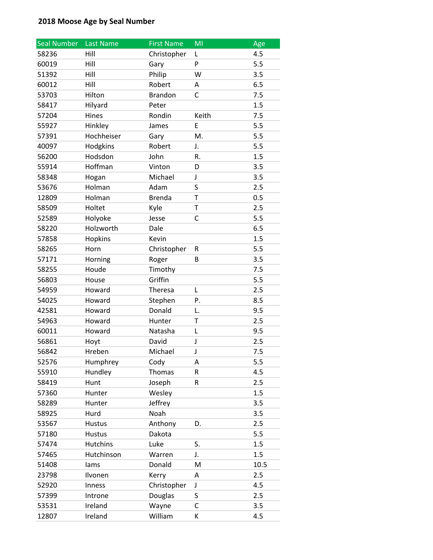| <b>Seal Number</b> | Last Name       | <b>First Name</b> | MI    | Age  |
|--------------------|-----------------|-------------------|-------|------|
| 58236              | Hill            | Christopher       | Г     | 4.5  |
| 60019              | Hill            | Gary              | P     | 5.5  |
| 51392              | Hill            | Philip            | W     | 3.5  |
| 60012              | Hill            | Robert            | А     | 6.5  |
| 53703              | Hilton          | <b>Brandon</b>    | C     | 7.5  |
| 58417              | Hilyard         | Peter             |       | 1.5  |
| 57204              | Hines           | Rondin            | Keith | 7.5  |
| 55927              | Hinkley         | James             | E     | 5.5  |
| 57391              | Hochheiser      | Gary              | M.    | 5.5  |
| 40097              | Hodgkins        | Robert            | J.    | 5.5  |
| 56200              | Hodsdon         | John              | R.    | 1.5  |
| 55914              | Hoffman         | Vinton            | D     | 3.5  |
| 58348              | Hogan           | Michael           | J     | 3.5  |
| 53676              | Holman          | Adam              | S     | 2.5  |
| 12809              | Holman          | <b>Brenda</b>     | T     | 0.5  |
| 58509              | Holtet          | Kyle              | T     | 2.5  |
| 52589              | Holyoke         | Jesse             | C     | 5.5  |
| 58220              | Holzworth       | Dale              |       | 6.5  |
| 57858              | Hopkins         | Kevin             |       | 1.5  |
| 58265              | Horn            | Christopher       | R     | 5.5  |
| 57171              | Horning         | Roger             | B     | 3.5  |
| 58255              | Houde           | Timothy           |       | 7.5  |
| 56803              | House           | Griffin           |       | 5.5  |
| 54959              | Howard          | Theresa           | L     | 2.5  |
| 54025              | Howard          | Stephen           | P.    | 8.5  |
| 42581              | Howard          | Donald            | L.    | 9.5  |
| 54963              | Howard          | Hunter            | T     | 2.5  |
| 60011              | Howard          | Natasha           | L     | 9.5  |
| 56861              | Hoyt            | David             | J     | 2.5  |
| 56842              | Hreben          | Michael           | J     | 7.5  |
| 52576              | Humphrey        | Cody              | Α     | 5.5  |
| 55910              | Hundley         | Thomas            | R     | 4.5  |
| 58419              | Hunt            | Joseph            | R     | 2.5  |
| 57360              | Hunter          | Wesley            |       | 1.5  |
| 58289              | Hunter          | Jeffrey           |       | 3.5  |
| 58925              | Hurd            | Noah              |       | 3.5  |
| 53567              | <b>Hustus</b>   | Anthony           | D.    | 2.5  |
| 57180              | <b>Hustus</b>   | Dakota            |       | 5.5  |
| 57474              | <b>Hutchins</b> | Luke              | S.    | 1.5  |
| 57465              | Hutchinson      | Warren            | J.    | 1.5  |
| 51408              | lams            | Donald            | M     | 10.5 |
| 23798              | Ilvonen         | Kerry             | Α     | 2.5  |
| 52920              | Inness          | Christopher       | J     | 4.5  |
| 57399              | Introne         | Douglas           | S     | 2.5  |
| 53531              | Ireland         | Wayne             | С     | 3.5  |
| 12807              | Ireland         | William           | К     | 4.5  |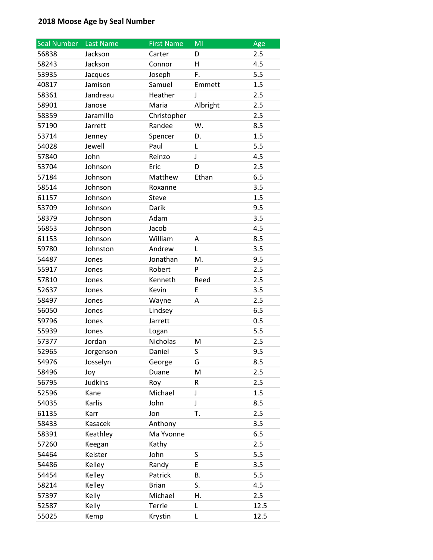| <b>Seal Number</b> | Last Name      | <b>First Name</b> | MI       | Age  |
|--------------------|----------------|-------------------|----------|------|
| 56838              | Jackson        | Carter            | D        | 2.5  |
| 58243              | Jackson        | Connor            | н        | 4.5  |
| 53935              | Jacques        | Joseph            | F.       | 5.5  |
| 40817              | Jamison        | Samuel            | Emmett   | 1.5  |
| 58361              | Jandreau       | Heather           | J        | 2.5  |
| 58901              | Janose         | Maria             | Albright | 2.5  |
| 58359              | Jaramillo      | Christopher       |          | 2.5  |
| 57190              | Jarrett        | Randee            | W.       | 8.5  |
| 53714              | Jenney         | Spencer           | D.       | 1.5  |
| 54028              | Jewell         | Paul              | Г        | 5.5  |
| 57840              | John           | Reinzo            | J        | 4.5  |
| 53704              | Johnson        | Eric              | D        | 2.5  |
| 57184              | Johnson        | Matthew           | Ethan    | 6.5  |
| 58514              | Johnson        | Roxanne           |          | 3.5  |
| 61157              | Johnson        | Steve             |          | 1.5  |
| 53709              | Johnson        | Darik             |          | 9.5  |
| 58379              | Johnson        | Adam              |          | 3.5  |
| 56853              | Johnson        | Jacob             |          | 4.5  |
| 61153              | Johnson        | William           | Α        | 8.5  |
| 59780              | Johnston       | Andrew            | L        | 3.5  |
| 54487              | Jones          | Jonathan          | M.       | 9.5  |
| 55917              | Jones          | Robert            | P        | 2.5  |
| 57810              | Jones          | Kenneth           | Reed     | 2.5  |
| 52637              | Jones          | Kevin             | E        | 3.5  |
| 58497              | Jones          | Wayne             | А        | 2.5  |
| 56050              | Jones          | Lindsey           |          | 6.5  |
| 59796              | Jones          | Jarrett           |          | 0.5  |
| 55939              | Jones          | Logan             |          | 5.5  |
| 57377              | Jordan         | Nicholas          | M        | 2.5  |
| 52965              | Jorgenson      | Daniel            | S        | 9.5  |
| 54976              | Josselyn       | George            | G        | 8.5  |
| 58496              | Joy            | Duane             | M        | 2.5  |
| 56795              | <b>Judkins</b> | Roy               | R        | 2.5  |
| 52596              | Kane           | Michael           | J        | 1.5  |
| 54035              | Karlis         | John              | J        | 8.5  |
| 61135              | Karr           | Jon               | T.       | 2.5  |
| 58433              | Kasacek        | Anthony           |          | 3.5  |
| 58391              | Keathley       | Ma Yvonne         |          | 6.5  |
| 57260              | Keegan         | Kathy             |          | 2.5  |
| 54464              | Keister        | John              | S        | 5.5  |
| 54486              | Kelley         | Randy             | E        | 3.5  |
| 54454              | Kelley         | Patrick           | Β.       | 5.5  |
| 58214              | Kelley         | <b>Brian</b>      | S.       | 4.5  |
| 57397              | Kelly          | Michael           | Η.       | 2.5  |
| 52587              | Kelly          | Terrie            | L        | 12.5 |
| 55025              | Kemp           | Krystin           | Г        | 12.5 |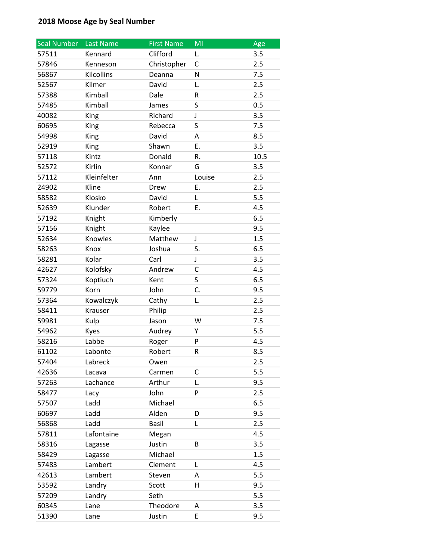| <b>Seal Number</b> | Last Name   | <b>First Name</b> | MI     | Age  |
|--------------------|-------------|-------------------|--------|------|
| 57511              | Kennard     | Clifford          | L.     | 3.5  |
| 57846              | Kenneson    | Christopher       | С      | 2.5  |
| 56867              | Kilcollins  | Deanna            | N      | 7.5  |
| 52567              | Kilmer      | David             | L.     | 2.5  |
| 57388              | Kimball     | Dale              | R      | 2.5  |
| 57485              | Kimball     | James             | S      | 0.5  |
| 40082              | King        | Richard           | J      | 3.5  |
| 60695              | King        | Rebecca           | S      | 7.5  |
| 54998              | King        | David             | А      | 8.5  |
| 52919              | King        | Shawn             | Ε.     | 3.5  |
| 57118              | Kintz       | Donald            | R.     | 10.5 |
| 52572              | Kirlin      | Konnar            | G      | 3.5  |
| 57112              | Kleinfelter | Ann               | Louise | 2.5  |
| 24902              | Kline       | Drew              | Ε.     | 2.5  |
| 58582              | Klosko      | David             | L      | 5.5  |
| 52639              | Klunder     | Robert            | Ε.     | 4.5  |
| 57192              | Knight      | Kimberly          |        | 6.5  |
| 57156              | Knight      | Kaylee            |        | 9.5  |
| 52634              | Knowles     | Matthew           | J      | 1.5  |
| 58263              | Knox        | Joshua            | S.     | 6.5  |
| 58281              | Kolar       | Carl              | J      | 3.5  |
| 42627              | Kolofsky    | Andrew            | C      | 4.5  |
| 57324              | Koptiuch    | Kent              | S      | 6.5  |
| 59779              | Korn        | John              | C.     | 9.5  |
| 57364              | Kowalczyk   | Cathy             | L.     | 2.5  |
| 58411              | Krauser     | Philip            |        | 2.5  |
| 59981              | Kulp        | Jason             | W      | 7.5  |
| 54962              | Kyes        | Audrey            | Υ      | 5.5  |
| 58216              | Labbe       | Roger             | P      | 4.5  |
| 61102              | Labonte     | Robert            | R      | 8.5  |
| 57404              | Labreck     | Owen              |        | 2.5  |
| 42636              | Lacava      | Carmen            | С      | 5.5  |
| 57263              | Lachance    | Arthur            | L.     | 9.5  |
| 58477              | Lacy        | John              | P      | 2.5  |
| 57507              | Ladd        | Michael           |        | 6.5  |
| 60697              | Ladd        | Alden             | D      | 9.5  |
| 56868              | Ladd        | <b>Basil</b>      | L      | 2.5  |
| 57811              | Lafontaine  | Megan             |        | 4.5  |
| 58316              | Lagasse     | Justin            | B      | 3.5  |
| 58429              | Lagasse     | Michael           |        | 1.5  |
| 57483              | Lambert     | Clement           | Г      | 4.5  |
| 42613              | Lambert     | Steven            | A      | 5.5  |
| 53592              | Landry      | Scott             | н      | 9.5  |
| 57209              | Landry      | Seth              |        | 5.5  |
| 60345              | Lane        | Theodore          | А      | 3.5  |
| 51390              | Lane        | Justin            | E      | 9.5  |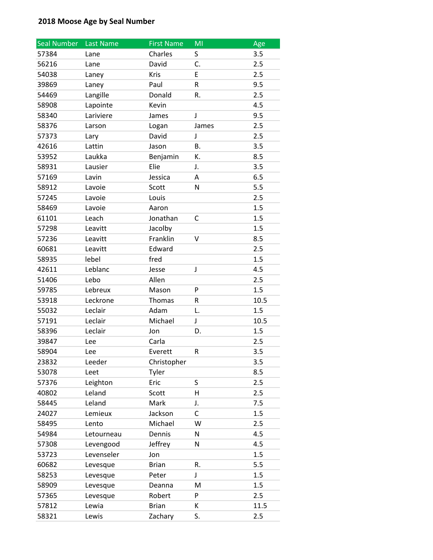| Seal Number | Last Name  | <b>First Name</b> | MI        | Age  |
|-------------|------------|-------------------|-----------|------|
| 57384       | Lane       | Charles           | S         | 3.5  |
| 56216       | Lane       | David             | C.        | 2.5  |
| 54038       | Laney      | Kris              | E         | 2.5  |
| 39869       | Laney      | Paul              | R         | 9.5  |
| 54469       | Langille   | Donald            | R.        | 2.5  |
| 58908       | Lapointe   | Kevin             |           | 4.5  |
| 58340       | Lariviere  | James             | J         | 9.5  |
| 58376       | Larson     | Logan             | James     | 2.5  |
| 57373       | Lary       | David             | J         | 2.5  |
| 42616       | Lattin     | Jason             | <b>B.</b> | 3.5  |
| 53952       | Laukka     | Benjamin          | Κ.        | 8.5  |
| 58931       | Lausier    | Elie              | J.        | 3.5  |
| 57169       | Lavin      | Jessica           | A         | 6.5  |
| 58912       | Lavoie     | Scott             | N         | 5.5  |
| 57245       | Lavoie     | Louis             |           | 2.5  |
| 58469       | Lavoie     | Aaron             |           | 1.5  |
| 61101       | Leach      | Jonathan          | C         | 1.5  |
| 57298       | Leavitt    | Jacolby           |           | 1.5  |
| 57236       | Leavitt    | Franklin          | v         | 8.5  |
| 60681       | Leavitt    | Edward            |           | 2.5  |
| 58935       | lebel      | fred              |           | 1.5  |
| 42611       | Leblanc    | Jesse             | J         | 4.5  |
| 51406       | Lebo       | Allen             |           | 2.5  |
| 59785       | Lebreux    | Mason             | P         | 1.5  |
| 53918       | Leckrone   | Thomas            | R         | 10.5 |
| 55032       | Leclair    | Adam              | L.        | 1.5  |
| 57191       | Leclair    | Michael           | J         | 10.5 |
| 58396       | Leclair    | Jon               | D.        | 1.5  |
| 39847       | Lee        | Carla             |           | 2.5  |
| 58904       | Lee        | Everett           | R         | 3.5  |
| 23832       | Leeder     | Christopher       |           | 3.5  |
| 53078       | Leet       | Tyler             |           | 8.5  |
| 57376       | Leighton   | Eric              | S         | 2.5  |
| 40802       | Leland     | Scott             | H         | 2.5  |
| 58445       | Leland     | Mark              | J.        | 7.5  |
| 24027       | Lemieux    | Jackson           | С         | 1.5  |
| 58495       | Lento      | Michael           | W         | 2.5  |
| 54984       | Letourneau | Dennis            | N         | 4.5  |
| 57308       | Levengood  | Jeffrey           | N         | 4.5  |
| 53723       | Levenseler | Jon               |           | 1.5  |
| 60682       | Levesque   | <b>Brian</b>      | R.        | 5.5  |
| 58253       | Levesque   | Peter             | J         | 1.5  |
| 58909       | Levesque   | Deanna            | M         | 1.5  |
| 57365       | Levesque   | Robert            | P         | 2.5  |
| 57812       | Lewia      | <b>Brian</b>      | К         | 11.5 |
| 58321       | Lewis      | Zachary           | S.        | 2.5  |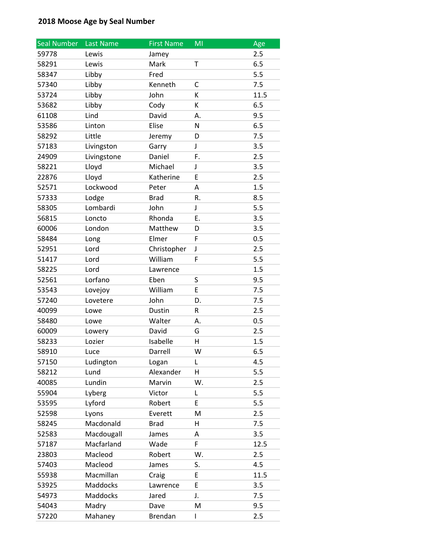| Seal Number | <b>Last Name</b> | <b>First Name</b> | ΜI | Age  |
|-------------|------------------|-------------------|----|------|
| 59778       | Lewis            | Jamey             |    | 2.5  |
| 58291       | Lewis            | Mark              | T  | 6.5  |
| 58347       | Libby            | Fred              |    | 5.5  |
| 57340       | Libby            | Kenneth           | C  | 7.5  |
| 53724       | Libby            | John              | Κ  | 11.5 |
| 53682       | Libby            | Cody              | К  | 6.5  |
| 61108       | Lind             | David             | А. | 9.5  |
| 53586       | Linton           | Elise             | N  | 6.5  |
| 58292       | Little           | Jeremy            | D  | 7.5  |
| 57183       | Livingston       | Garry             | J  | 3.5  |
| 24909       | Livingstone      | Daniel            | F. | 2.5  |
| 58221       | Lloyd            | Michael           | J  | 3.5  |
| 22876       | Lloyd            | Katherine         | E  | 2.5  |
| 52571       | Lockwood         | Peter             | А  | 1.5  |
| 57333       | Lodge            | <b>Brad</b>       | R. | 8.5  |
| 58305       | Lombardi         | John              | J  | 5.5  |
| 56815       | Loncto           | Rhonda            | Ε. | 3.5  |
| 60006       | London           | Matthew           | D  | 3.5  |
| 58484       | Long             | Elmer             | F  | 0.5  |
| 52951       | Lord             | Christopher       | J  | 2.5  |
| 51417       | Lord             | William           | F  | 5.5  |
| 58225       | Lord             | Lawrence          |    | 1.5  |
| 52561       | Lorfano          | Eben              | S  | 9.5  |
| 53543       | Lovejoy          | William           | E  | 7.5  |
| 57240       | Lovetere         | John              | D. | 7.5  |
| 40099       | Lowe             | Dustin            | R  | 2.5  |
| 58480       | Lowe             | Walter            | А. | 0.5  |
| 60009       | Lowery           | David             | G  | 2.5  |
| 58233       | Lozier           | Isabelle          | н  | 1.5  |
| 58910       | Luce             | Darrell           | W  | 6.5  |
| 57150       | Ludington        | Logan             | L  | 4.5  |
| 58212       | Lund             | Alexander         | H  | 5.5  |
| 40085       | Lundin           | Marvin            | W. | 2.5  |
| 55904       | Lyberg           | Victor            | Г  | 5.5  |
| 53595       | Lyford           | Robert            | E  | 5.5  |
| 52598       | Lyons            | Everett           | M  | 2.5  |
| 58245       | Macdonald        | <b>Brad</b>       | H  | 7.5  |
| 52583       | Macdougall       | James             | Α  | 3.5  |
| 57187       | Macfarland       | Wade              | F  | 12.5 |
| 23803       | Macleod          | Robert            | W. | 2.5  |
| 57403       | Macleod          | James             | S. | 4.5  |
| 55938       | Macmillan        | Craig             | E  | 11.5 |
| 53925       | Maddocks         | Lawrence          | E  | 3.5  |
| 54973       | Maddocks         | Jared             | J. | 7.5  |
| 54043       | Madry            | Dave              | M  | 9.5  |
| 57220       | Mahaney          | Brendan           | L  | 2.5  |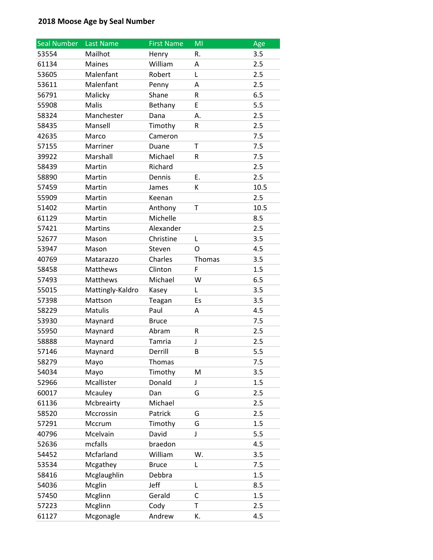| Seal Number | Last Name        | <b>First Name</b> | MI           | Age  |
|-------------|------------------|-------------------|--------------|------|
| 53554       | Mailhot          | Henry             | R.           | 3.5  |
| 61134       | <b>Maines</b>    | William           | А            | 2.5  |
| 53605       | Malenfant        | Robert            | L            | 2.5  |
| 53611       | Malenfant        | Penny             | A            | 2.5  |
| 56791       | Malicky          | Shane             | R            | 6.5  |
| 55908       | Malis            | Bethany           | E            | 5.5  |
| 58324       | Manchester       | Dana              | А.           | 2.5  |
| 58435       | Mansell          | Timothy           | R            | 2.5  |
| 42635       | Marco            | Cameron           |              | 7.5  |
| 57155       | Marriner         | Duane             | $\mathsf{T}$ | 7.5  |
| 39922       | Marshall         | Michael           | R            | 7.5  |
| 58439       | Martin           | Richard           |              | 2.5  |
| 58890       | Martin           | Dennis            | Ε.           | 2.5  |
| 57459       | Martin           | James             | K            | 10.5 |
| 55909       | Martin           | Keenan            |              | 2.5  |
| 51402       | Martin           | Anthony           | T            | 10.5 |
| 61129       | Martin           | Michelle          |              | 8.5  |
| 57421       | Martins          | Alexander         |              | 2.5  |
| 52677       | Mason            | Christine         | L            | 3.5  |
| 53947       | Mason            | Steven            | O            | 4.5  |
| 40769       | Matarazzo        | Charles           | Thomas       | 3.5  |
| 58458       | Matthews         | Clinton           | F            | 1.5  |
| 57493       | Matthews         | Michael           | W            | 6.5  |
| 55015       | Mattingly-Kaldro | Kasey             | L            | 3.5  |
| 57398       | Mattson          | Teagan            | Es           | 3.5  |
| 58229       | Matulis          | Paul              | A            | 4.5  |
| 53930       | Maynard          | <b>Bruce</b>      |              | 7.5  |
| 55950       | Maynard          | Abram             | R            | 2.5  |
| 58888       | Maynard          | Tamria            | J            | 2.5  |
| 57146       | Maynard          | Derrill           | B            | 5.5  |
| 58279       | Mayo             | Thomas            |              | 7.5  |
| 54034       | Mayo             | Timothy           | M            | 3.5  |
| 52966       | Mcallister       | Donald            | J            | 1.5  |
| 60017       | Mcauley          | Dan               | G            | 2.5  |
| 61136       | Mcbreairty       | Michael           |              | 2.5  |
| 58520       | Mccrossin        | Patrick           | G            | 2.5  |
| 57291       | Mccrum           | Timothy           | G            | 1.5  |
| 40796       | Mcelvain         | David             | J            | 5.5  |
| 52636       | mcfalls          | braedon           |              | 4.5  |
| 54452       | Mcfarland        | William           | W.           | 3.5  |
| 53534       | Mcgathey         | <b>Bruce</b>      | Г            | 7.5  |
| 58416       | Mcglaughlin      | Debbra            |              | 1.5  |
| 54036       | Mcglin           | Jeff              | Г            | 8.5  |
| 57450       | Mcglinn          | Gerald            | C            | 1.5  |
| 57223       | Mcglinn          | Cody              | т            | 2.5  |
| 61127       | Mcgonagle        | Andrew            | K.           | 4.5  |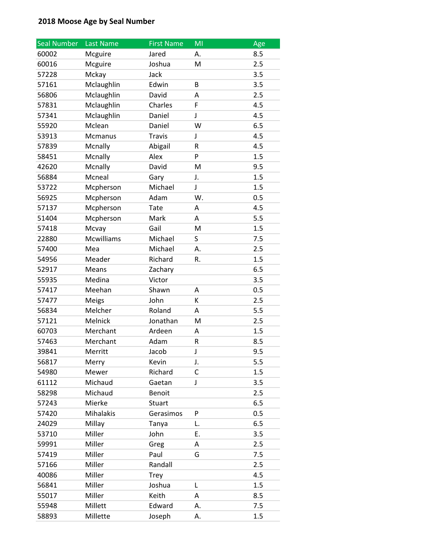| <b>Seal Number</b> | Last Name        | <b>First Name</b> | MI | Age |
|--------------------|------------------|-------------------|----|-----|
| 60002              | Mcguire          | Jared             | А. | 8.5 |
| 60016              | Mcguire          | Joshua            | M  | 2.5 |
| 57228              | Mckay            | Jack              |    | 3.5 |
| 57161              | Mclaughlin       | Edwin             | B  | 3.5 |
| 56806              | Mclaughlin       | David             | Α  | 2.5 |
| 57831              | Mclaughlin       | Charles           | F  | 4.5 |
| 57341              | Mclaughlin       | Daniel            | J  | 4.5 |
| 55920              | Mclean           | Daniel            | W  | 6.5 |
| 53913              | Mcmanus          | <b>Travis</b>     | J  | 4.5 |
| 57839              | Mcnally          | Abigail           | R  | 4.5 |
| 58451              | Mcnally          | Alex              | P  | 1.5 |
| 42620              | Mcnally          | David             | M  | 9.5 |
| 56884              | Mcneal           | Gary              | J. | 1.5 |
| 53722              | Mcpherson        | Michael           | J  | 1.5 |
| 56925              | Mcpherson        | Adam              | W. | 0.5 |
| 57137              | Mcpherson        | <b>Tate</b>       | Α  | 4.5 |
| 51404              | Mcpherson        | Mark              | А  | 5.5 |
| 57418              | Mcvay            | Gail              | M  | 1.5 |
| 22880              | Mcwilliams       | Michael           | S  | 7.5 |
| 57400              | Mea              | Michael           | А. | 2.5 |
| 54956              | Meader           | Richard           | R. | 1.5 |
| 52917              | Means            | Zachary           |    | 6.5 |
| 55935              | Medina           | Victor            |    | 3.5 |
| 57417              | Meehan           | Shawn             | Α  | 0.5 |
| 57477              | Meigs            | John              | К  | 2.5 |
| 56834              | Melcher          | Roland            | А  | 5.5 |
| 57121              | Melnick          | Jonathan          | M  | 2.5 |
| 60703              | Merchant         | Ardeen            | A  | 1.5 |
| 57463              | Merchant         | Adam              | R  | 8.5 |
| 39841              | Merritt          | Jacob             | J  | 9.5 |
| 56817              | Merry            | Kevin             | J. | 5.5 |
| 54980              | Mewer            | Richard           | C  | 1.5 |
| 61112              | Michaud          | Gaetan            | J  | 3.5 |
| 58298              | Michaud          | Benoit            |    | 2.5 |
| 57243              | Mierke           | Stuart            |    | 6.5 |
| 57420              | <b>Mihalakis</b> | Gerasimos         | P  | 0.5 |
| 24029              | Millay           | Tanya             | L. | 6.5 |
| 53710              | Miller           | John              | Ε. | 3.5 |
| 59991              | Miller           | Greg              | Α  | 2.5 |
| 57419              | Miller           | Paul              | G  | 7.5 |
| 57166              | Miller           | Randall           |    | 2.5 |
| 40086              | Miller           | <b>Trey</b>       |    | 4.5 |
| 56841              | Miller           | Joshua            | Г  | 1.5 |
| 55017              | Miller           | Keith             | A  | 8.5 |
| 55948              | Millett          | Edward            | А. | 7.5 |
| 58893              | Millette         | Joseph            | А. | 1.5 |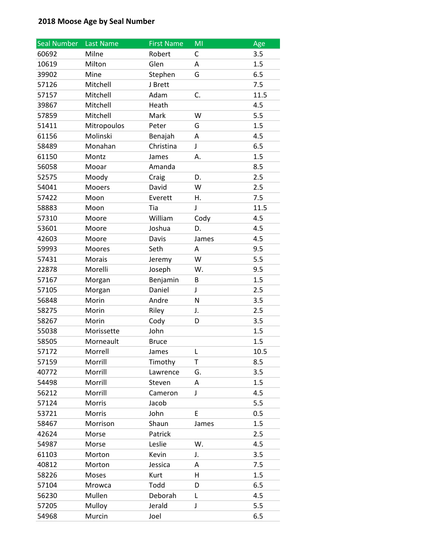| <b>Seal Number</b> | Last Name   | <b>First Name</b> | MI    | Age  |
|--------------------|-------------|-------------------|-------|------|
| 60692              | Milne       | Robert            | C     | 3.5  |
| 10619              | Milton      | Glen              | Α     | 1.5  |
| 39902              | Mine        | Stephen           | G     | 6.5  |
| 57126              | Mitchell    | J Brett           |       | 7.5  |
| 57157              | Mitchell    | Adam              | C.    | 11.5 |
| 39867              | Mitchell    | Heath             |       | 4.5  |
| 57859              | Mitchell    | Mark              | W     | 5.5  |
| 51411              | Mitropoulos | Peter             | G     | 1.5  |
| 61156              | Molinski    | Benajah           | Α     | 4.5  |
| 58489              | Monahan     | Christina         | J     | 6.5  |
| 61150              | Montz       | James             | А.    | 1.5  |
| 56058              | Mooar       | Amanda            |       | 8.5  |
| 52575              | Moody       | Craig             | D.    | 2.5  |
| 54041              | Mooers      | David             | W     | 2.5  |
| 57422              | Moon        | Everett           | Η.    | 7.5  |
| 58883              | Moon        | Tia               | J     | 11.5 |
| 57310              | Moore       | William           | Cody  | 4.5  |
| 53601              | Moore       | Joshua            | D.    | 4.5  |
| 42603              | Moore       | Davis             | James | 4.5  |
| 59993              | Moores      | Seth              | A     | 9.5  |
| 57431              | Morais      | Jeremy            | W     | 5.5  |
| 22878              | Morelli     | Joseph            | W.    | 9.5  |
| 57167              | Morgan      | Benjamin          | B     | 1.5  |
| 57105              | Morgan      | Daniel            | J     | 2.5  |
| 56848              | Morin       | Andre             | N     | 3.5  |
| 58275              | Morin       | Riley             | J.    | 2.5  |
| 58267              | Morin       | Cody              | D     | 3.5  |
| 55038              | Morissette  | John              |       | 1.5  |
| 58505              | Morneault   | <b>Bruce</b>      |       | 1.5  |
| 57172              | Morrell     | James             | L     | 10.5 |
| 57159              | Morrill     | Timothy           | Τ     | 8.5  |
| 40772              | Morrill     | Lawrence          | G.    | 3.5  |
| 54498              | Morrill     | Steven            | Α     | 1.5  |
| 56212              | Morrill     | Cameron           | J     | 4.5  |
| 57124              | Morris      | Jacob             |       | 5.5  |
| 53721              | Morris      | John              | Е     | 0.5  |
| 58467              | Morrison    | Shaun             | James | 1.5  |
| 42624              | Morse       | Patrick           |       | 2.5  |
| 54987              | Morse       | Leslie            | W.    | 4.5  |
| 61103              | Morton      | Kevin             | J.    | 3.5  |
| 40812              | Morton      | Jessica           | Α     | 7.5  |
| 58226              | Moses       | Kurt              | Н     | 1.5  |
| 57104              | Mrowca      | Todd              | D     | 6.5  |
| 56230              | Mullen      | Deborah           | L     | 4.5  |
| 57205              | Mulloy      | Jerald            | J     | 5.5  |
| 54968              | Murcin      | Joel              |       | 6.5  |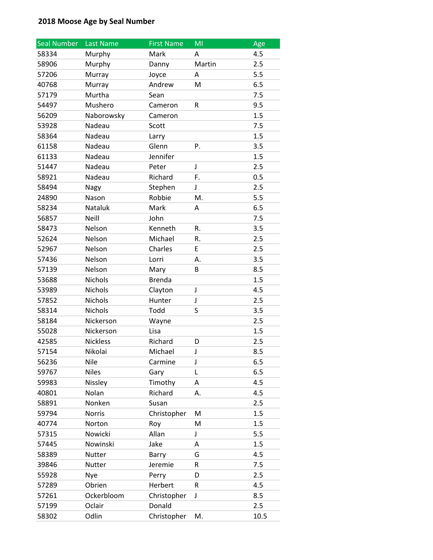| <b>Seal Number</b> | Last Name       | <b>First Name</b> | MI     | Age  |
|--------------------|-----------------|-------------------|--------|------|
| 58334              | Murphy          | Mark              | А      | 4.5  |
| 58906              | Murphy          | Danny             | Martin | 2.5  |
| 57206              | Murray          | Joyce             | А      | 5.5  |
| 40768              | Murray          | Andrew            | M      | 6.5  |
| 57179              | Murtha          | Sean              |        | 7.5  |
| 54497              | Mushero         | Cameron           | R      | 9.5  |
| 56209              | Naborowsky      | Cameron           |        | 1.5  |
| 53928              | Nadeau          | Scott             |        | 7.5  |
| 58364              | Nadeau          | Larry             |        | 1.5  |
| 61158              | Nadeau          | Glenn             | P.     | 3.5  |
| 61133              | Nadeau          | Jennifer          |        | 1.5  |
| 51447              | Nadeau          | Peter             | J      | 2.5  |
| 58921              | Nadeau          | Richard           | F.     | 0.5  |
| 58494              | Nagy            | Stephen           | J      | 2.5  |
| 24890              | Nason           | Robbie            | M.     | 5.5  |
| 58234              | Nataluk         | Mark              | А      | 6.5  |
| 56857              | Neill           | John              |        | 7.5  |
| 58473              | Nelson          | Kenneth           | R.     | 3.5  |
| 52624              | Nelson          | Michael           | R.     | 2.5  |
| 52967              | Nelson          | Charles           | E      | 2.5  |
| 57436              | Nelson          | Lorri             | А.     | 3.5  |
| 57139              | Nelson          | Mary              | В      | 8.5  |
| 53688              | Nichols         | <b>Brenda</b>     |        | 1.5  |
| 53989              | Nichols         | Clayton           | J      | 4.5  |
| 57852              | <b>Nichols</b>  | Hunter            | J      | 2.5  |
| 58314              | Nichols         | Todd              | S      | 3.5  |
| 58184              | Nickerson       | Wayne             |        | 2.5  |
| 55028              | Nickerson       | Lisa              |        | 1.5  |
| 42585              | <b>Nickless</b> | Richard           | D      | 2.5  |
| 57154              | Nikolai         | Michael           | J      | 8.5  |
| 56236              | Nile            | Carmine           | J      | 6.5  |
| 59767              | <b>Niles</b>    | Gary              | L      | 6.5  |
| 59983              | Nissley         | Timothy           | Α      | 4.5  |
| 40801              | Nolan           | Richard           | А.     | 4.5  |
| 58891              | Nonken          | Susan             |        | 2.5  |
| 59794              | <b>Norris</b>   | Christopher       | M      | 1.5  |
| 40774              | Norton          | Roy               | M      | 1.5  |
| 57315              | Nowicki         | Allan             | J      | 5.5  |
| 57445              | Nowinski        | Jake              | А      | 1.5  |
| 58389              | Nutter          | Barry             | G      | 4.5  |
| 39846              | <b>Nutter</b>   | Jeremie           | R      | 7.5  |
| 55928              | Nye             | Perry             | D      | 2.5  |
| 57289              | Obrien          | Herbert           | R      | 4.5  |
| 57261              | Ockerbloom      | Christopher       | J      | 8.5  |
| 57199              | Oclair          | Donald            |        | 2.5  |
| 58302              | Odlin           | Christopher       | M.     | 10.5 |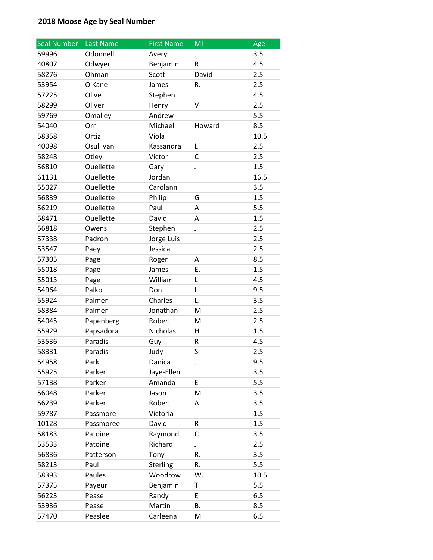| <b>Seal Number</b> | <b>Last Name</b> | <b>First Name</b> | MI     | Age  |
|--------------------|------------------|-------------------|--------|------|
| 59996              | Odonnell         | Avery             | J      | 3.5  |
| 40807              | Odwyer           | Benjamin          | R      | 4.5  |
| 58276              | Ohman            | Scott             | David  | 2.5  |
| 53954              | O'Kane           | James             | R.     | 2.5  |
| 57225              | Olive            | Stephen           |        | 4.5  |
| 58299              | Oliver           | Henry             | V      | 2.5  |
| 59769              | Omalley          | Andrew            |        | 5.5  |
| 54040              | Orr              | Michael           | Howard | 8.5  |
| 58358              | Ortiz            | Viola             |        | 10.5 |
| 40098              | Osullivan        | Kassandra         | L      | 2.5  |
| 58248              | Otley            | Victor            | C      | 2.5  |
| 56810              | Ouellette        | Gary              | J      | 1.5  |
| 61131              | Ouellette        | Jordan            |        | 16.5 |
| 55027              | Ouellette        | Carolann          |        | 3.5  |
| 56839              | Ouellette        | Philip            | G      | 1.5  |
| 56219              | Ouellette        | Paul              | A      | 5.5  |
| 58471              | <b>Ouellette</b> | David             | А.     | 1.5  |
| 56818              | Owens            | Stephen           | J      | 2.5  |
| 57338              | Padron           | Jorge Luis        |        | 2.5  |
| 53547              | Paey             | Jessica           |        | 2.5  |
| 57305              | Page             | Roger             | Α      | 8.5  |
| 55018              | Page             | James             | Ε.     | 1.5  |
| 55013              | Page             | William           | L      | 4.5  |
| 54964              | Palko            | Don               | L      | 9.5  |
| 55924              | Palmer           | Charles           | L.     | 3.5  |
| 58384              | Palmer           | Jonathan          | M      | 2.5  |
| 54045              | Papenberg        | Robert            | M      | 2.5  |
| 55929              | Papsadora        | Nicholas          | н      | 1.5  |
| 53536              | Paradis          | Guy               | R      | 4.5  |
| 58331              | Paradis          | Judy              | S      | 2.5  |
| 54958              | Park             | Danica            | J      | 9.5  |
| 55925              | Parker           | Jaye-Ellen        |        | 3.5  |
| 57138              | Parker           | Amanda            | E      | 5.5  |
| 56048              | Parker           | Jason             | M      | 3.5  |
| 56239              | Parker           | Robert            | A      | 3.5  |
| 59787              | Passmore         | Victoria          |        | 1.5  |
| 10128              | Passmoree        | David             | R      | 1.5  |
| 58183              | Patoine          | Raymond           | С      | 3.5  |
| 53533              | Patoine          | Richard           | J      | 2.5  |
| 56836              | Patterson        | Tony              | R.     | 3.5  |
| 58213              | Paul             | Sterling          | R.     | 5.5  |
| 58393              | Paules           | Woodrow           | W.     | 10.5 |
| 57375              | Payeur           | Benjamin          | Т      | 5.5  |
| 56223              | Pease            | Randy             | E      | 6.5  |
| 53936              | Pease            | Martin            | Β.     | 8.5  |
| 57470              | Peaslee          | Carleena          | M      | 6.5  |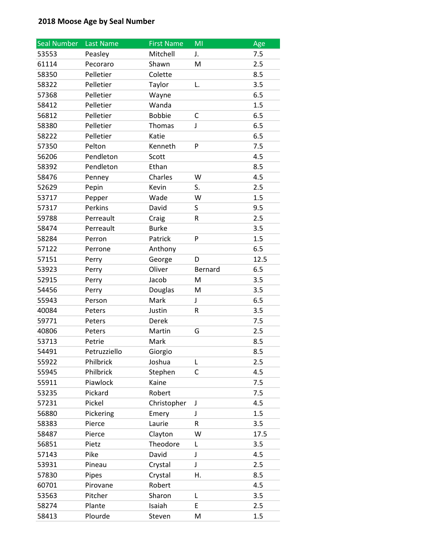| <b>Seal Number</b> | Last Name    | <b>First Name</b> | MI      | Age  |
|--------------------|--------------|-------------------|---------|------|
| 53553              | Peasley      | Mitchell          | J.      | 7.5  |
| 61114              | Pecoraro     | Shawn             | M       | 2.5  |
| 58350              | Pelletier    | Colette           |         | 8.5  |
| 58322              | Pelletier    | Taylor            | L.      | 3.5  |
| 57368              | Pelletier    | Wayne             |         | 6.5  |
| 58412              | Pelletier    | Wanda             |         | 1.5  |
| 56812              | Pelletier    | <b>Bobbie</b>     | С       | 6.5  |
| 58380              | Pelletier    | Thomas            | J       | 6.5  |
| 58222              | Pelletier    | Katie             |         | 6.5  |
| 57350              | Pelton       | Kenneth           | P       | 7.5  |
| 56206              | Pendleton    | Scott             |         | 4.5  |
| 58392              | Pendleton    | Ethan             |         | 8.5  |
| 58476              | Penney       | Charles           | W       | 4.5  |
| 52629              | Pepin        | Kevin             | S.      | 2.5  |
| 53717              | Pepper       | Wade              | W       | 1.5  |
| 57317              | Perkins      | David             | S       | 9.5  |
| 59788              | Perreault    | Craig             | R       | 2.5  |
| 58474              | Perreault    | <b>Burke</b>      |         | 3.5  |
| 58284              | Perron       | Patrick           | P       | 1.5  |
| 57122              | Perrone      | Anthony           |         | 6.5  |
| 57151              | Perry        | George            | D       | 12.5 |
| 53923              | Perry        | Oliver            | Bernard | 6.5  |
| 52915              | Perry        | Jacob             | M       | 3.5  |
| 54456              | Perry        | Douglas           | M       | 3.5  |
| 55943              | Person       | Mark              | J       | 6.5  |
| 40084              | Peters       | Justin            | R       | 3.5  |
| 59771              | Peters       | Derek             |         | 7.5  |
| 40806              | Peters       | Martin            | G       | 2.5  |
| 53713              | Petrie       | Mark              |         | 8.5  |
| 54491              | Petruzziello | Giorgio           |         | 8.5  |
| 55922              | Philbrick    | Joshua            | L       | 2.5  |
| 55945              | Philbrick    | Stephen           | C       | 4.5  |
| 55911              | Piawlock     | Kaine             |         | 7.5  |
| 53235              | Pickard      | Robert            |         | 7.5  |
| 57231              | Pickel       | Christopher       | J       | 4.5  |
| 56880              | Pickering    | Emery             | J       | 1.5  |
| 58383              | Pierce       | Laurie            | R       | 3.5  |
| 58487              | Pierce       | Clayton           | W       | 17.5 |
| 56851              | Pietz        | Theodore          | L       | 3.5  |
| 57143              | Pike         | David             | J       | 4.5  |
| 53931              | Pineau       | Crystal           | J       | 2.5  |
| 57830              | Pipes        | Crystal           | Н.      | 8.5  |
| 60701              | Pirovane     | Robert            |         | 4.5  |
| 53563              | Pitcher      | Sharon            | L       | 3.5  |
| 58274              | Plante       | Isaiah            | E       | 2.5  |
| 58413              | Plourde      | Steven            | M       | 1.5  |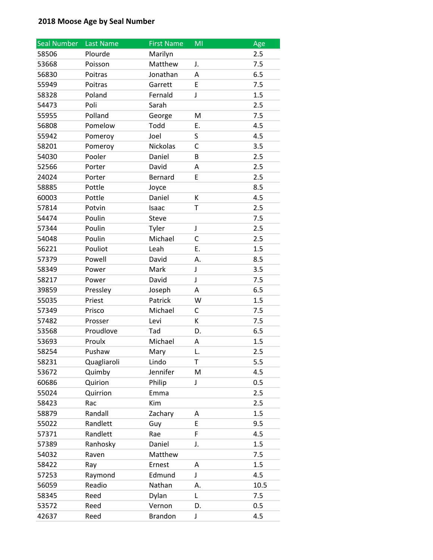| <b>Seal Number</b> | Last Name   | <b>First Name</b> | MI          | Age  |
|--------------------|-------------|-------------------|-------------|------|
| 58506              | Plourde     | Marilyn           |             | 2.5  |
| 53668              | Poisson     | Matthew           | J.          | 7.5  |
| 56830              | Poitras     | Jonathan          | Α           | 6.5  |
| 55949              | Poitras     | Garrett           | E           | 7.5  |
| 58328              | Poland      | Fernald           | J           | 1.5  |
| 54473              | Poli        | Sarah             |             | 2.5  |
| 55955              | Polland     | George            | M           | 7.5  |
| 56808              | Pomelow     | Todd              | Ε.          | 4.5  |
| 55942              | Pomeroy     | Joel              | S           | 4.5  |
| 58201              | Pomeroy     | Nickolas          | C           | 3.5  |
| 54030              | Pooler      | Daniel            | В           | 2.5  |
| 52566              | Porter      | David             | Α           | 2.5  |
| 24024              | Porter      | Bernard           | E           | 2.5  |
| 58885              | Pottle      | Joyce             |             | 8.5  |
| 60003              | Pottle      | Daniel            | К           | 4.5  |
| 57814              | Potvin      | Isaac             | T           | 2.5  |
| 54474              | Poulin      | <b>Steve</b>      |             | 7.5  |
| 57344              | Poulin      | Tyler             | J           | 2.5  |
| 54048              | Poulin      | Michael           | C           | 2.5  |
| 56221              | Pouliot     | Leah              | E.          | 1.5  |
| 57379              | Powell      | David             | А.          | 8.5  |
| 58349              | Power       | Mark              | J           | 3.5  |
| 58217              | Power       | David             | $\mathsf J$ | 7.5  |
| 39859              | Pressley    | Joseph            | A           | 6.5  |
| 55035              | Priest      | Patrick           | W           | 1.5  |
| 57349              | Prisco      | Michael           | С           | 7.5  |
| 57482              | Prosser     | Levi              | K           | 7.5  |
| 53568              | Proudlove   | Tad               | D.          | 6.5  |
| 53693              | Proulx      | Michael           | A           | 1.5  |
| 58254              | Pushaw      | Mary              | L.          | 2.5  |
| 58231              | Quagliaroli | Lindo             | Τ           | 5.5  |
| 53672              | Quimby      | Jennifer          | M           | 4.5  |
| 60686              | Quirion     | Philip            | J           | 0.5  |
| 55024              | Quirrion    | Emma              |             | 2.5  |
| 58423              | Rac         | Kim               |             | 2.5  |
| 58879              | Randall     | Zachary           | A           | 1.5  |
| 55022              | Randlett    | Guy               | E           | 9.5  |
| 57371              | Randlett    | Rae               | F           | 4.5  |
| 57389              | Ranhosky    | Daniel            | J.          | 1.5  |
| 54032              | Raven       | Matthew           |             | 7.5  |
| 58422              | Ray         | Ernest            | A           | 1.5  |
| 57253              | Raymond     | Edmund            | J           | 4.5  |
| 56059              | Readio      | Nathan            | А.          | 10.5 |
| 58345              | Reed        | Dylan             | L           | 7.5  |
| 53572              | Reed        | Vernon            | D.          | 0.5  |
| 42637              | Reed        | <b>Brandon</b>    | J           | 4.5  |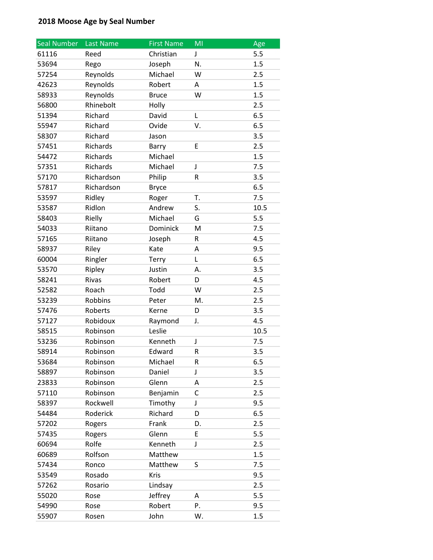| <b>Seal Number</b> | Last Name  | <b>First Name</b> | MI | Age  |
|--------------------|------------|-------------------|----|------|
| 61116              | Reed       | Christian         | J  | 5.5  |
| 53694              | Rego       | Joseph            | N. | 1.5  |
| 57254              | Reynolds   | Michael           | W  | 2.5  |
| 42623              | Reynolds   | Robert            | A  | 1.5  |
| 58933              | Reynolds   | <b>Bruce</b>      | W  | 1.5  |
| 56800              | Rhinebolt  | Holly             |    | 2.5  |
| 51394              | Richard    | David             | L  | 6.5  |
| 55947              | Richard    | Ovide             | V. | 6.5  |
| 58307              | Richard    | Jason             |    | 3.5  |
| 57451              | Richards   | Barry             | E  | 2.5  |
| 54472              | Richards   | Michael           |    | 1.5  |
| 57351              | Richards   | Michael           | J  | 7.5  |
| 57170              | Richardson | Philip            | R  | 3.5  |
| 57817              | Richardson | <b>Bryce</b>      |    | 6.5  |
| 53597              | Ridley     | Roger             | T. | 7.5  |
| 53587              | Ridlon     | Andrew            | S. | 10.5 |
| 58403              | Rielly     | Michael           | G  | 5.5  |
| 54033              | Riitano    | Dominick          | M  | 7.5  |
| 57165              | Riitano    | Joseph            | R  | 4.5  |
| 58937              | Riley      | Kate              | А  | 9.5  |
| 60004              | Ringler    | <b>Terry</b>      | L  | 6.5  |
| 53570              | Ripley     | Justin            | А. | 3.5  |
| 58241              | Rivas      | Robert            | D  | 4.5  |
| 52582              | Roach      | Todd              | W  | 2.5  |
| 53239              | Robbins    | Peter             | M. | 2.5  |
| 57476              | Roberts    | Kerne             | D  | 3.5  |
| 57127              | Robidoux   | Raymond           | J. | 4.5  |
| 58515              | Robinson   | Leslie            |    | 10.5 |
| 53236              | Robinson   | Kenneth           | J  | 7.5  |
| 58914              | Robinson   | Edward            | R  | 3.5  |
| 53684              | Robinson   | Michael           | R  | 6.5  |
| 58897              | Robinson   | Daniel            | J  | 3.5  |
| 23833              | Robinson   | Glenn             | Α  | 2.5  |
| 57110              | Robinson   | Benjamin          | С  | 2.5  |
| 58397              | Rockwell   | Timothy           | J  | 9.5  |
| 54484              | Roderick   | Richard           | D  | 6.5  |
| 57202              | Rogers     | Frank             | D. | 2.5  |
| 57435              | Rogers     | Glenn             | E  | 5.5  |
| 60694              | Rolfe      | Kenneth           | J  | 2.5  |
| 60689              | Rolfson    | Matthew           |    | 1.5  |
| 57434              | Ronco      | Matthew           | S  | 7.5  |
| 53549              | Rosado     | Kris              |    | 9.5  |
| 57262              | Rosario    | Lindsay           |    | 2.5  |
| 55020              | Rose       | Jeffrey           | А  | 5.5  |
| 54990              | Rose       | Robert            | Ρ. | 9.5  |
| 55907              | Rosen      | John              | W. | 1.5  |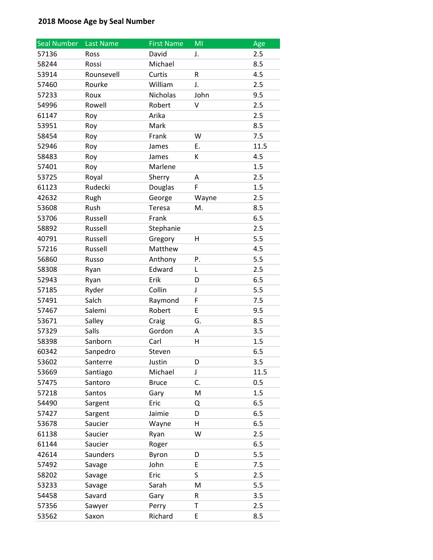| <b>Seal Number</b> | Last Name  | <b>First Name</b> | MI    | Age  |
|--------------------|------------|-------------------|-------|------|
| 57136              | Ross       | David             | J.    | 2.5  |
| 58244              | Rossi      | Michael           |       | 8.5  |
| 53914              | Rounsevell | Curtis            | R     | 4.5  |
| 57460              | Rourke     | William           | J.    | 2.5  |
| 57233              | Roux       | Nicholas          | John  | 9.5  |
| 54996              | Rowell     | Robert            | V     | 2.5  |
| 61147              | Roy        | Arika             |       | 2.5  |
| 53951              | Roy        | Mark              |       | 8.5  |
| 58454              | Roy        | Frank             | W     | 7.5  |
| 52946              | Roy        | James             | Ε.    | 11.5 |
| 58483              | Roy        | James             | К     | 4.5  |
| 57401              | Roy        | Marlene           |       | 1.5  |
| 53725              | Royal      | Sherry            | A     | 2.5  |
| 61123              | Rudecki    | Douglas           | F     | 1.5  |
| 42632              | Rugh       | George            | Wayne | 2.5  |
| 53608              | Rush       | Teresa            | M.    | 8.5  |
| 53706              | Russell    | Frank             |       | 6.5  |
| 58892              | Russell    | Stephanie         |       | 2.5  |
| 40791              | Russell    | Gregory           | н     | 5.5  |
| 57216              | Russell    | Matthew           |       | 4.5  |
| 56860              | Russo      | Anthony           | Ρ.    | 5.5  |
| 58308              | Ryan       | Edward            | L     | 2.5  |
| 52943              | Ryan       | Erik              | D     | 6.5  |
| 57185              | Ryder      | Collin            | J     | 5.5  |
| 57491              | Salch      | Raymond           | F     | 7.5  |
| 57467              | Salemi     | Robert            | E     | 9.5  |
| 53671              | Salley     | Craig             | G.    | 8.5  |
| 57329              | Salls      | Gordon            | А     | 3.5  |
| 58398              | Sanborn    | Carl              | н     | 1.5  |
| 60342              | Sanpedro   | Steven            |       | 6.5  |
| 53602              | Santerre   | Justin            | D     | 3.5  |
| 53669              | Santiago   | Michael           | J     | 11.5 |
| 57475              | Santoro    | <b>Bruce</b>      | C.    | 0.5  |
| 57218              | Santos     | Gary              | M     | 1.5  |
| 54490              | Sargent    | Eric              | Q     | 6.5  |
| 57427              | Sargent    | Jaimie            | D     | 6.5  |
| 53678              | Saucier    | Wayne             | H     | 6.5  |
| 61138              | Saucier    | Ryan              | W     | 2.5  |
| 61144              | Saucier    | Roger             |       | 6.5  |
| 42614              | Saunders   | Byron             | D     | 5.5  |
| 57492              | Savage     | John              | E     | 7.5  |
| 58202              | Savage     | Eric              | S     | 2.5  |
| 53233              | Savage     | Sarah             | M     | 5.5  |
| 54458              | Savard     | Gary              | R     | 3.5  |
| 57356              | Sawyer     | Perry             | Т     | 2.5  |
| 53562              | Saxon      | Richard           | E     | 8.5  |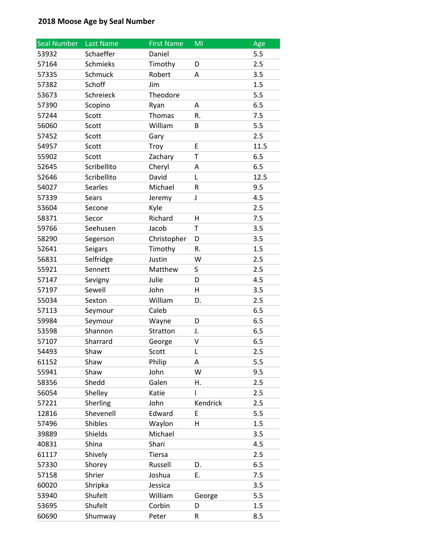| <b>Seal Number</b> | Last Name      | <b>First Name</b> | MI          | Age  |
|--------------------|----------------|-------------------|-------------|------|
| 53932              | Schaeffer      | Daniel            |             | 5.5  |
| 57164              | Schmieks       | Timothy           | D           | 2.5  |
| 57335              | Schmuck        | Robert            | A           | 3.5  |
| 57382              | Schoff         | Jim               |             | 1.5  |
| 53673              | Schreieck      | Theodore          |             | 5.5  |
| 57390              | Scopino        | Ryan              | A           | 6.5  |
| 57244              | Scott          | Thomas            | R.          | 7.5  |
| 56060              | Scott          | William           | В           | 5.5  |
| 57452              | Scott          | Gary              |             | 2.5  |
| 54957              | Scott          | Troy              | E           | 11.5 |
| 55902              | Scott          | Zachary           | T           | 6.5  |
| 52645              | Scribellito    | Cheryl            | Α           | 6.5  |
| 52646              | Scribellito    | David             | L           | 12.5 |
| 54027              | <b>Searles</b> | Michael           | $\mathsf R$ | 9.5  |
| 57339              | Sears          | Jeremy            | J           | 4.5  |
| 53604              | Secone         | Kyle              |             | 2.5  |
| 58371              | Secor          | Richard           | н           | 7.5  |
| 59766              | Seehusen       | Jacob             | T           | 3.5  |
| 58290              | Segerson       | Christopher       | D           | 3.5  |
| 52641              | Seigars        | Timothy           | R.          | 1.5  |
| 56831              | Selfridge      | Justin            | W           | 2.5  |
| 55921              | Sennett        | Matthew           | S           | 2.5  |
| 57147              | Sevigny        | Julie             | D           | 4.5  |
| 57197              | Sewell         | John              | н           | 3.5  |
| 55034              | Sexton         | William           | D.          | 2.5  |
| 57113              | Seymour        | Caleb             |             | 6.5  |
| 59984              | Seymour        | Wayne             | D           | 6.5  |
| 53598              | Shannon        | Stratton          | J.          | 6.5  |
| 57107              | Sharrard       | George            | V           | 6.5  |
| 54493              | Shaw           | Scott             | L           | 2.5  |
| 61152              | Shaw           | Philip            | A           | 5.5  |
| 55941              | Shaw           | John              | W           | 9.5  |
| 58356              | Shedd          | Galen             | Η.          | 2.5  |
| 56054              | Shelley        | Katie             | L           | 2.5  |
| 57221              | Sherling       | John              | Kendrick    | 2.5  |
| 12816              | Shevenell      | Edward            | E           | 5.5  |
| 57496              | Shibles        | Waylon            | H           | 1.5  |
| 39889              | Shields        | Michael           |             | 3.5  |
| 40831              | Shina          | Shari             |             | 4.5  |
| 61117              | Shively        | <b>Tiersa</b>     |             | 2.5  |
| 57330              | Shorey         | Russell           | D.          | 6.5  |
| 57158              | Shrier         | Joshua            | Ε.          | 7.5  |
| 60020              | Shripka        | Jessica           |             | 3.5  |
| 53940              | Shufelt        | William           | George      | 5.5  |
| 53695              | Shufelt        | Corbin            | D           | 1.5  |
| 60690              | Shumway        | Peter             | R           | 8.5  |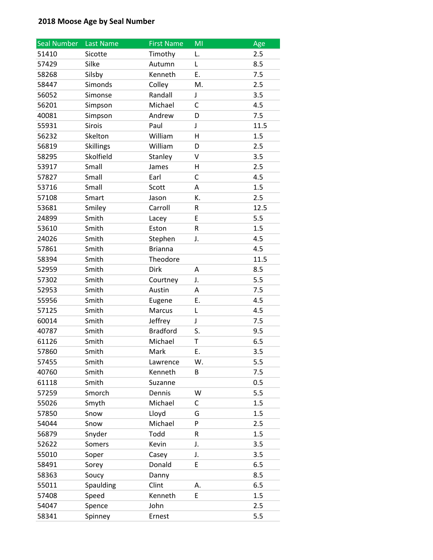| <b>Seal Number</b> | Last Name        | <b>First Name</b> | MI | Age  |
|--------------------|------------------|-------------------|----|------|
| 51410              | Sicotte          | Timothy           | L. | 2.5  |
| 57429              | Silke            | Autumn            | L  | 8.5  |
| 58268              | Silsby           | Kenneth           | Ε. | 7.5  |
| 58447              | Simonds          | Colley            | M. | 2.5  |
| 56052              | Simonse          | Randall           | J  | 3.5  |
| 56201              | Simpson          | Michael           | C  | 4.5  |
| 40081              | Simpson          | Andrew            | D  | 7.5  |
| 55931              | Sirois           | Paul              | J  | 11.5 |
| 56232              | Skelton          | William           | H  | 1.5  |
| 56819              | <b>Skillings</b> | William           | D  | 2.5  |
| 58295              | Skolfield        | Stanley           | V  | 3.5  |
| 53917              | Small            | James             | н  | 2.5  |
| 57827              | Small            | Earl              | C  | 4.5  |
| 53716              | Small            | Scott             | A  | 1.5  |
| 57108              | Smart            | Jason             | K. | 2.5  |
| 53681              | Smiley           | Carroll           | R  | 12.5 |
| 24899              | Smith            | Lacey             | E  | 5.5  |
| 53610              | Smith            | Eston             | R  | 1.5  |
| 24026              | Smith            | Stephen           | J. | 4.5  |
| 57861              | Smith            | <b>Brianna</b>    |    | 4.5  |
| 58394              | Smith            | Theodore          |    | 11.5 |
| 52959              | Smith            | Dirk              | А  | 8.5  |
| 57302              | Smith            | Courtney          | J. | 5.5  |
| 52953              | Smith            | Austin            | Α  | 7.5  |
| 55956              | Smith            | Eugene            | Ε. | 4.5  |
| 57125              | Smith            | Marcus            | Г  | 4.5  |
| 60014              | Smith            | Jeffrey           | J  | 7.5  |
| 40787              | Smith            | <b>Bradford</b>   | S. | 9.5  |
| 61126              | Smith            | Michael           | T  | 6.5  |
| 57860              | Smith            | Mark              | Ε. | 3.5  |
| 57455              | Smith            | Lawrence          | W. | 5.5  |
| 40760              | Smith            | Kenneth           | B  | 7.5  |
| 61118              | Smith            | Suzanne           |    | 0.5  |
| 57259              | Smorch           | Dennis            | W  | 5.5  |
| 55026              | Smyth            | Michael           | С  | 1.5  |
| 57850              | Snow             | Lloyd             | G  | 1.5  |
| 54044              | Snow             | Michael           | P  | 2.5  |
| 56879              | Snyder           | Todd              | R  | 1.5  |
| 52622              | Somers           | Kevin             | J. | 3.5  |
| 55010              | Soper            | Casey             | J. | 3.5  |
| 58491              | Sorey            | Donald            | E  | 6.5  |
| 58363              | Soucy            | Danny             |    | 8.5  |
| 55011              | Spaulding        | Clint             | А. | 6.5  |
| 57408              | Speed            | Kenneth           | E  | 1.5  |
| 54047              | Spence           | John              |    | 2.5  |
| 58341              | Spinney          | Ernest            |    | 5.5  |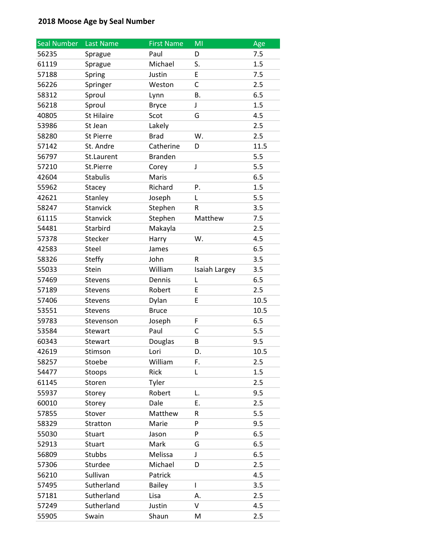| <b>Seal Number</b> | Last Name         | <b>First Name</b> | MI            | Age  |
|--------------------|-------------------|-------------------|---------------|------|
| 56235              | Sprague           | Paul              | D             | 7.5  |
| 61119              | Sprague           | Michael           | S.            | 1.5  |
| 57188              | Spring            | Justin            | E             | 7.5  |
| 56226              | Springer          | Weston            | C             | 2.5  |
| 58312              | Sproul            | Lynn              | В.            | 6.5  |
| 56218              | Sproul            | <b>Bryce</b>      | J             | 1.5  |
| 40805              | <b>St Hilaire</b> | Scot              | G             | 4.5  |
| 53986              | St Jean           | Lakely            |               | 2.5  |
| 58280              | St Pierre         | <b>Brad</b>       | W.            | 2.5  |
| 57142              | St. Andre         | Catherine         | D             | 11.5 |
| 56797              | St.Laurent        | <b>Branden</b>    |               | 5.5  |
| 57210              | St.Pierre         | Corey             | J             | 5.5  |
| 42604              | <b>Stabulis</b>   | Maris             |               | 6.5  |
| 55962              | Stacey            | Richard           | P.            | 1.5  |
| 42621              | Stanley           | Joseph            | L             | 5.5  |
| 58247              | <b>Stanvick</b>   | Stephen           | R             | 3.5  |
| 61115              | Stanvick          | Stephen           | Matthew       | 7.5  |
| 54481              | Starbird          | Makayla           |               | 2.5  |
| 57378              | Stecker           | Harry             | W.            | 4.5  |
| 42583              | Steel             | James             |               | 6.5  |
| 58326              | <b>Steffy</b>     | John              | R             | 3.5  |
| 55033              | Stein             | William           | Isaiah Largey | 3.5  |
| 57469              | <b>Stevens</b>    | Dennis            | L             | 6.5  |
| 57189              | <b>Stevens</b>    | Robert            | E             | 2.5  |
| 57406              | Stevens           | Dylan             | E             | 10.5 |
| 53551              | Stevens           | <b>Bruce</b>      |               | 10.5 |
| 59783              | Stevenson         | Joseph            | F             | 6.5  |
| 53584              | Stewart           | Paul              | C             | 5.5  |
| 60343              | Stewart           | Douglas           | B             | 9.5  |
| 42619              | Stimson           | Lori              | D.            | 10.5 |
| 58257              | Stoebe            | William           | F.            | 2.5  |
| 54477              | Stoops            | Rick              | Г             | 1.5  |
| 61145              | Storen            | Tyler             |               | 2.5  |
| 55937              | Storey            | Robert            | L.            | 9.5  |
| 60010              | Storey            | Dale              | Ε.            | 2.5  |
| 57855              | Stover            | Matthew           | R             | 5.5  |
| 58329              | Stratton          | Marie             | P             | 9.5  |
| 55030              | <b>Stuart</b>     | Jason             | P             | 6.5  |
| 52913              | <b>Stuart</b>     | Mark              | G             | 6.5  |
| 56809              | Stubbs            | Melissa           | J             | 6.5  |
| 57306              | Sturdee           | Michael           | D             | 2.5  |
| 56210              | Sullivan          | Patrick           |               | 4.5  |
| 57495              | Sutherland        | <b>Bailey</b>     | $\mathsf{I}$  | 3.5  |
| 57181              | Sutherland        | Lisa              | А.            | 2.5  |
| 57249              | Sutherland        | Justin            | V             | 4.5  |
| 55905              | Swain             | Shaun             | M             | 2.5  |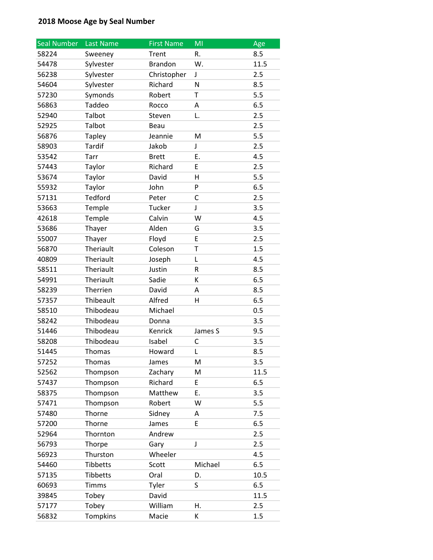| <b>Seal Number</b> | Last Name     | <b>First Name</b> | MI      | Age  |
|--------------------|---------------|-------------------|---------|------|
| 58224              | Sweeney       | Trent             | R.      | 8.5  |
| 54478              | Sylvester     | <b>Brandon</b>    | W.      | 11.5 |
| 56238              | Sylvester     | Christopher       | J       | 2.5  |
| 54604              | Sylvester     | Richard           | N       | 8.5  |
| 57230              | Symonds       | Robert            | T       | 5.5  |
| 56863              | Taddeo        | Rocco             | A       | 6.5  |
| 52940              | Talbot        | Steven            | L.      | 2.5  |
| 52925              | Talbot        | Beau              |         | 2.5  |
| 56876              | <b>Tapley</b> | Jeannie           | M       | 5.5  |
| 58903              | Tardif        | Jakob             | J       | 2.5  |
| 53542              | Tarr          | <b>Brett</b>      | Ε.      | 4.5  |
| 57443              | Taylor        | Richard           | Е       | 2.5  |
| 53674              | Taylor        | David             | H       | 5.5  |
| 55932              | Taylor        | John              | P       | 6.5  |
| 57131              | Tedford       | Peter             | C       | 2.5  |
| 53663              | Temple        | Tucker            | J       | 3.5  |
| 42618              | Temple        | Calvin            | W       | 4.5  |
| 53686              | Thayer        | Alden             | G       | 3.5  |
| 55007              | Thayer        | Floyd             | E       | 2.5  |
| 56870              | Theriault     | Coleson           | T       | 1.5  |
| 40809              | Theriault     | Joseph            | L       | 4.5  |
| 58511              | Theriault     | Justin            | R       | 8.5  |
| 54991              | Theriault     | Sadie             | К       | 6.5  |
| 58239              | Therrien      | David             | Α       | 8.5  |
| 57357              | Thibeault     | Alfred            | н       | 6.5  |
| 58510              | Thibodeau     | Michael           |         | 0.5  |
| 58242              | Thibodeau     | Donna             |         | 3.5  |
| 51446              | Thibodeau     | Kenrick           | James S | 9.5  |
| 58208              | Thibodeau     | Isabel            | C       | 3.5  |
| 51445              | Thomas        | Howard            | L       | 8.5  |
| 57252              | <b>Thomas</b> | James             | Μ       | 3.5  |
| 52562              | Thompson      | Zachary           | M       | 11.5 |
| 57437              | Thompson      | Richard           | E       | 6.5  |
| 58375              | Thompson      | Matthew           | Ε.      | 3.5  |
| 57471              | Thompson      | Robert            | W       | 5.5  |
| 57480              | Thorne        | Sidney            | A       | 7.5  |
| 57200              | Thorne        | James             | E       | 6.5  |
| 52964              | Thornton      | Andrew            |         | 2.5  |
| 56793              | Thorpe        | Gary              | J       | 2.5  |
| 56923              | Thurston      | Wheeler           |         | 4.5  |
| 54460              | Tibbetts      | Scott             | Michael | 6.5  |
| 57135              | Tibbetts      | Oral              | D.      | 10.5 |
| 60693              | <b>Timms</b>  | Tyler             | S       | 6.5  |
| 39845              | Tobey         | David             |         | 11.5 |
| 57177              | Tobey         | William           | Η.      | 2.5  |
| 56832              | Tompkins      | Macie             | К       | 1.5  |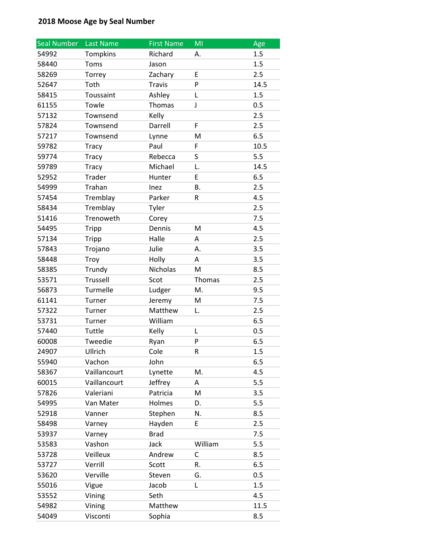| <b>Seal Number</b> | Last Name    | <b>First Name</b> | MI      | Age  |
|--------------------|--------------|-------------------|---------|------|
| 54992              | Tompkins     | Richard           | А.      | 1.5  |
| 58440              | Toms         | Jason             |         | 1.5  |
| 58269              | Torrey       | Zachary           | E       | 2.5  |
| 52647              | Toth         | <b>Travis</b>     | P       | 14.5 |
| 58415              | Toussaint    | Ashley            | Г       | 1.5  |
| 61155              | Towle        | Thomas            | J       | 0.5  |
| 57132              | Townsend     | Kelly             |         | 2.5  |
| 57824              | Townsend     | Darrell           | F       | 2.5  |
| 57217              | Townsend     | Lynne             | M       | 6.5  |
| 59782              | <b>Tracy</b> | Paul              | F       | 10.5 |
| 59774              | <b>Tracy</b> | Rebecca           | S       | 5.5  |
| 59789              | <b>Tracy</b> | Michael           | L.      | 14.5 |
| 52952              | Trader       | Hunter            | E       | 6.5  |
| 54999              | Trahan       | Inez              | В.      | 2.5  |
| 57454              | Tremblay     | Parker            | R       | 4.5  |
| 58434              | Tremblay     | Tyler             |         | 2.5  |
| 51416              | Trenoweth    | Corey             |         | 7.5  |
| 54495              | <b>Tripp</b> | Dennis            | M       | 4.5  |
| 57134              | Tripp        | Halle             | A       | 2.5  |
| 57843              | Trojano      | Julie             | А.      | 3.5  |
| 58448              | Troy         | Holly             | A       | 3.5  |
| 58385              | Trundy       | Nicholas          | M       | 8.5  |
| 53571              | Trussell     | Scot              | Thomas  | 2.5  |
| 56873              | Turmelle     | Ludger            | M.      | 9.5  |
| 61141              | Turner       | Jeremy            | M       | 7.5  |
| 57322              | Turner       | Matthew           | L.      | 2.5  |
| 53731              | Turner       | William           |         | 6.5  |
| 57440              | Tuttle       | Kelly             | L       | 0.5  |
| 60008              | Tweedie      | Ryan              | P       | 6.5  |
| 24907              | Ullrich      | Cole              | R       | 1.5  |
| 55940              | Vachon       | John              |         | 6.5  |
| 58367              | Vaillancourt | Lynette           | M.      | 4.5  |
| 60015              | Vaillancourt | Jeffrey           | A       | 5.5  |
| 57826              | Valeriani    | Patricia          | M       | 3.5  |
| 54995              | Van Mater    | Holmes            | D.      | 5.5  |
| 52918              | Vanner       | Stephen           | N.      | 8.5  |
| 58498              | Varney       | Hayden            | E       | 2.5  |
| 53937              | Varney       | <b>Brad</b>       |         | 7.5  |
| 53583              | Vashon       | Jack              | William | 5.5  |
| 53728              | Veilleux     | Andrew            | С       | 8.5  |
| 53727              | Verrill      | Scott             | R.      | 6.5  |
| 53620              | Verville     | Steven            | G.      | 0.5  |
| 55016              | Vigue        | Jacob             | L       | 1.5  |
| 53552              | Vining       | Seth              |         | 4.5  |
| 54982              | Vining       | Matthew           |         | 11.5 |
| 54049              | Visconti     | Sophia            |         | 8.5  |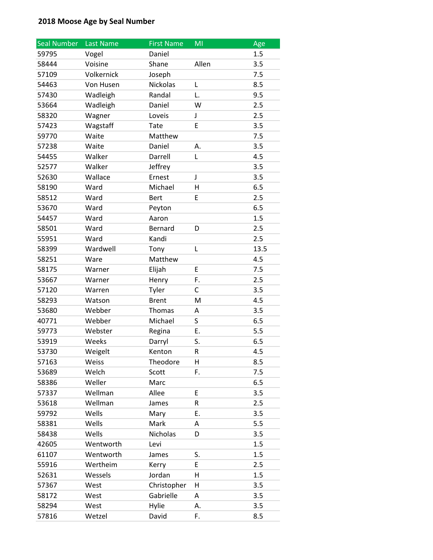| <b>Seal Number</b> | Last Name  | <b>First Name</b> | ΜI    | Age  |
|--------------------|------------|-------------------|-------|------|
| 59795              | Vogel      | Daniel            |       | 1.5  |
| 58444              | Voisine    | Shane             | Allen | 3.5  |
| 57109              | Volkernick | Joseph            |       | 7.5  |
| 54463              | Von Husen  | Nickolas          | L     | 8.5  |
| 57430              | Wadleigh   | Randal            | L.    | 9.5  |
| 53664              | Wadleigh   | Daniel            | W     | 2.5  |
| 58320              | Wagner     | Loveis            | J     | 2.5  |
| 57423              | Wagstaff   | Tate              | E     | 3.5  |
| 59770              | Waite      | Matthew           |       | 7.5  |
| 57238              | Waite      | Daniel            | А.    | 3.5  |
| 54455              | Walker     | Darrell           | Г     | 4.5  |
| 52577              | Walker     | Jeffrey           |       | 3.5  |
| 52630              | Wallace    | Ernest            | J     | 3.5  |
| 58190              | Ward       | Michael           | Η     | 6.5  |
| 58512              | Ward       | <b>Bert</b>       | E     | 2.5  |
| 53670              | Ward       | Peyton            |       | 6.5  |
| 54457              | Ward       | Aaron             |       | 1.5  |
| 58501              | Ward       | Bernard           | D     | 2.5  |
| 55951              | Ward       | Kandi             |       | 2.5  |
| 58399              | Wardwell   | Tony              | Г     | 13.5 |
| 58251              | Ware       | Matthew           |       | 4.5  |
| 58175              | Warner     | Elijah            | E     | 7.5  |
| 53667              | Warner     | Henry             | F.    | 2.5  |
| 57120              | Warren     | Tyler             | С     | 3.5  |
| 58293              | Watson     | <b>Brent</b>      | M     | 4.5  |
| 53680              | Webber     | Thomas            | Α     | 3.5  |
| 40771              | Webber     | Michael           | S     | 6.5  |
| 59773              | Webster    | Regina            | Ε.    | 5.5  |
| 53919              | Weeks      | Darryl            | S.    | 6.5  |
| 53730              | Weigelt    | Kenton            | R     | 4.5  |
| 57163              | Weiss      | Theodore          | H     | 8.5  |
| 53689              | Welch      | Scott             | F.    | 7.5  |
| 58386              | Weller     | Marc              |       | 6.5  |
| 57337              | Wellman    | Allee             | E     | 3.5  |
| 53618              | Wellman    | James             | R     | 2.5  |
| 59792              | Wells      | Mary              | Ε.    | 3.5  |
| 58381              | Wells      | Mark              | А     | 5.5  |
| 58438              | Wells      | Nicholas          | D     | 3.5  |
| 42605              | Wentworth  | Levi              |       | 1.5  |
| 61107              | Wentworth  | James             | S.    | 1.5  |
| 55916              | Wertheim   | Kerry             | Е     | 2.5  |
| 52631              | Wessels    | Jordan            | H     | 1.5  |
| 57367              | West       | Christopher       | н     | 3.5  |
| 58172              | West       | Gabrielle         | А     | 3.5  |
| 58294              | West       | Hylie             | Α.    | 3.5  |
| 57816              | Wetzel     | David             | F.    | 8.5  |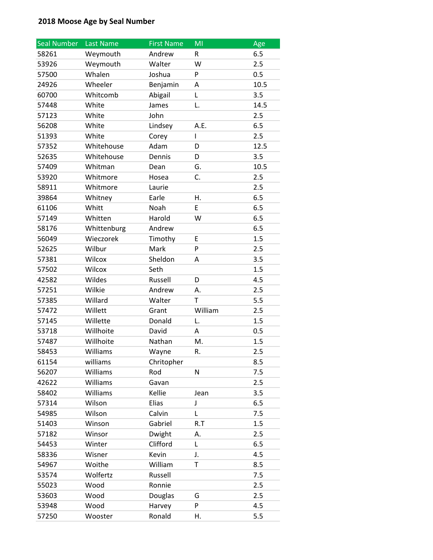| <b>Seal Number</b> | Last Name   | <b>First Name</b> | MI      | Age  |
|--------------------|-------------|-------------------|---------|------|
| 58261              | Weymouth    | Andrew            | R       | 6.5  |
| 53926              | Weymouth    | Walter            | W       | 2.5  |
| 57500              | Whalen      | Joshua            | P       | 0.5  |
| 24926              | Wheeler     | Benjamin          | Α       | 10.5 |
| 60700              | Whitcomb    | Abigail           | Г       | 3.5  |
| 57448              | White       | James             | L.      | 14.5 |
| 57123              | White       | John              |         | 2.5  |
| 56208              | White       | Lindsey           | A.E.    | 6.5  |
| 51393              | White       | Corey             | L       | 2.5  |
| 57352              | Whitehouse  | Adam              | D       | 12.5 |
| 52635              | Whitehouse  | Dennis            | D       | 3.5  |
| 57409              | Whitman     | Dean              | G.      | 10.5 |
| 53920              | Whitmore    | Hosea             | C.      | 2.5  |
| 58911              | Whitmore    | Laurie            |         | 2.5  |
| 39864              | Whitney     | Earle             | Η.      | 6.5  |
| 61106              | Whitt       | Noah              | E       | 6.5  |
| 57149              | Whitten     | Harold            | W       | 6.5  |
| 58176              | Whittenburg | Andrew            |         | 6.5  |
| 56049              | Wieczorek   | Timothy           | Ε       | 1.5  |
| 52625              | Wilbur      | Mark              | P       | 2.5  |
| 57381              | Wilcox      | Sheldon           | A       | 3.5  |
| 57502              | Wilcox      | Seth              |         | 1.5  |
| 42582              | Wildes      | Russell           | D       | 4.5  |
| 57251              | Wilkie      | Andrew            | А.      | 2.5  |
| 57385              | Willard     | Walter            | T       | 5.5  |
| 57472              | Willett     | Grant             | William | 2.5  |
| 57145              | Willette    | Donald            | L.      | 1.5  |
| 53718              | Willhoite   | David             | A       | 0.5  |
| 57487              | Willhoite   | Nathan            | M.      | 1.5  |
| 58453              | Williams    | Wayne             | R.      | 2.5  |
| 61154              | williams    | Chritopher        |         | 8.5  |
| 56207              | Williams    | Rod               | N       | 7.5  |
| 42622              | Williams    | Gavan             |         | 2.5  |
| 58402              | Williams    | Kellie            | Jean    | 3.5  |
| 57314              | Wilson      | Elias             | J       | 6.5  |
| 54985              | Wilson      | Calvin            | L       | 7.5  |
| 51403              | Winson      | Gabriel           | R.T     | 1.5  |
| 57182              | Winsor      | Dwight            | Α.      | 2.5  |
| 54453              | Winter      | Clifford          | L       | 6.5  |
| 58336              | Wisner      | Kevin             | J.      | 4.5  |
| 54967              | Woithe      | William           | T       | 8.5  |
| 53574              | Wolfertz    | Russell           |         | 7.5  |
| 55023              | Wood        | Ronnie            |         | 2.5  |
| 53603              | Wood        | Douglas           | G       | 2.5  |
| 53948              | Wood        | Harvey            | P       | 4.5  |
| 57250              | Wooster     | Ronald            | Η.      | 5.5  |